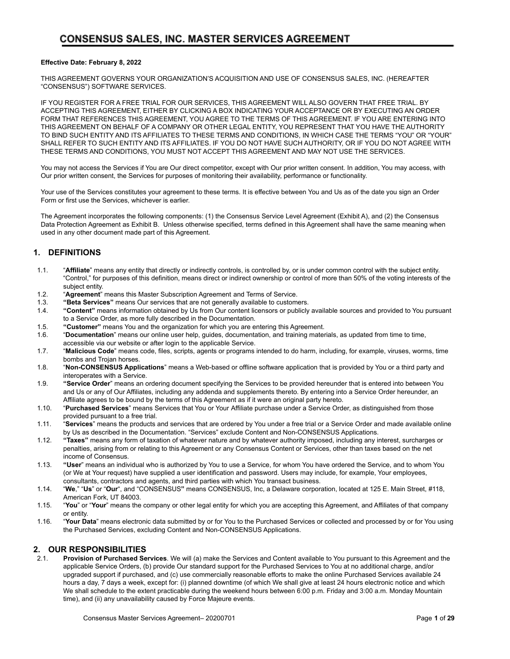#### **Effective Date: February 8, 2022**

THIS AGREEMENT GOVERNS YOUR ORGANIZATION'S ACQUISITION AND USE OF CONSENSUS SALES, INC. (HEREAFTER "CONSENSUS") SOFTWARE SERVICES.

IF YOU REGISTER FOR A FREE TRIAL FOR OUR SERVICES, THIS AGREEMENT WILL ALSO GOVERN THAT FREE TRIAL. BY ACCEPTING THIS AGREEMENT, EITHER BY CLICKING A BOX INDICATING YOUR ACCEPTANCE OR BY EXECUTING AN ORDER FORM THAT REFERENCES THIS AGREEMENT, YOU AGREE TO THE TERMS OF THIS AGREEMENT. IF YOU ARE ENTERING INTO THIS AGREEMENT ON BEHALF OF A COMPANY OR OTHER LEGAL ENTITY, YOU REPRESENT THAT YOU HAVE THE AUTHORITY TO BIND SUCH ENTITY AND ITS AFFILIATES TO THESE TERMS AND CONDITIONS, IN WHICH CASE THE TERMS "YOU" OR "YOUR" SHALL REFER TO SUCH ENTITY AND ITS AFFILIATES. IF YOU DO NOT HAVE SUCH AUTHORITY, OR IF YOU DO NOT AGREE WITH THESE TERMS AND CONDITIONS, YOU MUST NOT ACCEPT THIS AGREEMENT AND MAY NOT USE THE SERVICES.

You may not access the Services if You are Our direct competitor, except with Our prior written consent. In addition, You may access, with Our prior written consent, the Services for purposes of monitoring their availability, performance or functionality.

Your use of the Services constitutes your agreement to these terms. It is effective between You and Us as of the date you sign an Order Form or first use the Services, whichever is earlier.

The Agreement incorporates the following components: (1) the Consensus Service Level Agreement (Exhibit A), and (2) the Consensus Data Protection Agreement as Exhibit B. Unless otherwise specified, terms defined in this Agreement shall have the same meaning when used in any other document made part of this Agreement.

### **1. DEFINITIONS**

- 1.1. "**Affiliate**" means any entity that directly or indirectly controls, is controlled by, or is under common control with the subject entity. "Control," for purposes of this definition, means direct or indirect ownership or control of more than 50% of the voting interests of the subject entity.
- 1.2. "**Agreement**" means this Master Subscription Agreement and Terms of Service.
- 1.3. **"Beta Services"** means Our services that are not generally available to customers.
- 1.4. **"Content"** means information obtained by Us from Our content licensors or publicly available sources and provided to You pursuant to a Service Order, as more fully described in the Documentation.
- 1.5. **"Customer"** means You and the organization for which you are entering this Agreement.
- 1.6. "**Documentation**" means our online user help, guides, documentation, and training materials, as updated from time to time, accessible via our website or after login to the applicable Service.
- 1.7. "**Malicious Code**" means code, files, scripts, agents or programs intended to do harm, including, for example, viruses, worms, time bombs and Trojan horses.
- 1.8. "**Non-CONSENSUS Applications**" means a Web-based or offline software application that is provided by You or a third party and interoperates with a Service.
- 1.9. **"Service Order**" means an ordering document specifying the Services to be provided hereunder that is entered into between You and Us or any of Our Affiliates, including any addenda and supplements thereto. By entering into a Service Order hereunder, an Affiliate agrees to be bound by the terms of this Agreement as if it were an original party hereto.
- 1.10. "**Purchased Services**" means Services that You or Your Affiliate purchase under a Service Order, as distinguished from those provided pursuant to a free trial.
- 1.11. "**Services**" means the products and services that are ordered by You under a free trial or a Service Order and made available online by Us as described in the Documentation. "Services" exclude Content and Non-CONSENSUS Applications.
- 1.12. **"Taxes"** means any form of taxation of whatever nature and by whatever authority imposed, including any interest, surcharges or penalties, arising from or relating to this Agreement or any Consensus Content or Services, other than taxes based on the net income of Consensus.
- 1.13. **"User**" means an individual who is authorized by You to use a Service, for whom You have ordered the Service, and to whom You (or We at Your request) have supplied a user identification and password. Users may include, for example, Your employees, consultants, contractors and agents, and third parties with which You transact business.
- 1.14. "**We**," "**Us**" or "**Our**", and "CONSENSUS**"** means CONSENSUS, Inc, a Delaware corporation, located at 125 E. Main Street, #118, American Fork, UT 84003.
- 1.15. "**You**" or "**Your**" means the company or other legal entity for which you are accepting this Agreement, and Affiliates of that company or entity.
- 1.16. "**Your Data**" means electronic data submitted by or for You to the Purchased Services or collected and processed by or for You using the Purchased Services, excluding Content and Non-CONSENSUS Applications.

### **2. OUR RESPONSIBILITIES**

2.1. **Provision of Purchased Services**. We will (a) make the Services and Content available to You pursuant to this Agreement and the applicable Service Orders, (b) provide Our standard support for the Purchased Services to You at no additional charge, and/or upgraded support if purchased, and (c) use commercially reasonable efforts to make the online Purchased Services available 24 hours a day, 7 days a week, except for: (i) planned downtime (of which We shall give at least 24 hours electronic notice and which We shall schedule to the extent practicable during the weekend hours between 6:00 p.m. Friday and 3:00 a.m. Monday Mountain time), and (ii) any unavailability caused by Force Majeure events.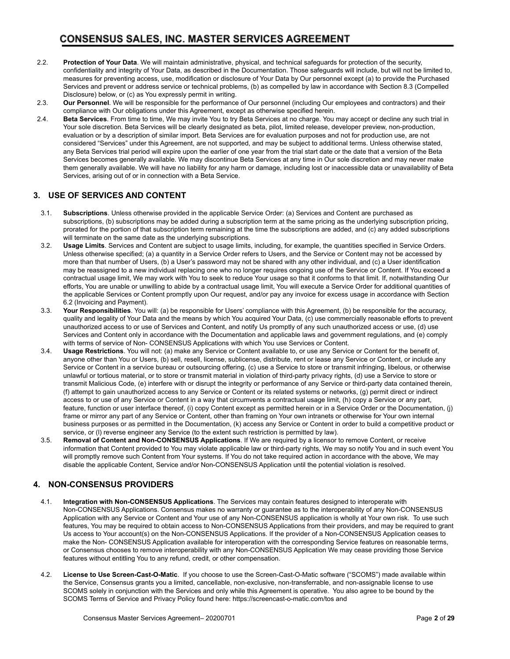- 2.2. **Protection of Your Data**. We will maintain administrative, physical, and technical safeguards for protection of the security, confidentiality and integrity of Your Data, as described in the Documentation. Those safeguards will include, but will not be limited to, measures for preventing access, use, modification or disclosure of Your Data by Our personnel except (a) to provide the Purchased Services and prevent or address service or technical problems, (b) as compelled by law in accordance with Section 8.3 (Compelled Disclosure) below, or (c) as You expressly permit in writing.
- 2.3. **Our Personnel**. We will be responsible for the performance of Our personnel (including Our employees and contractors) and their compliance with Our obligations under this Agreement, except as otherwise specified herein.
- 2.4. **Beta Services**. From time to time, We may invite You to try Beta Services at no charge. You may accept or decline any such trial in Your sole discretion. Beta Services will be clearly designated as beta, pilot, limited release, developer preview, non-production, evaluation or by a description of similar import. Beta Services are for evaluation purposes and not for production use, are not considered "Services" under this Agreement, are not supported, and may be subject to additional terms. Unless otherwise stated, any Beta Services trial period will expire upon the earlier of one year from the trial start date or the date that a version of the Beta Services becomes generally available. We may discontinue Beta Services at any time in Our sole discretion and may never make them generally available. We will have no liability for any harm or damage, including lost or inaccessible data or unavailability of Beta Services, arising out of or in connection with a Beta Service.

### **3. USE OF SERVICES AND CONTENT**

- 3.1. **Subscriptions**. Unless otherwise provided in the applicable Service Order: (a) Services and Content are purchased as subscriptions, (b) subscriptions may be added during a subscription term at the same pricing as the underlying subscription pricing, prorated for the portion of that subscription term remaining at the time the subscriptions are added, and (c) any added subscriptions will terminate on the same date as the underlying subscriptions.
- 3.2. **Usage Limits**. Services and Content are subject to usage limits, including, for example, the quantities specified in Service Orders. Unless otherwise specified; (a) a quantity in a Service Order refers to Users, and the Service or Content may not be accessed by more than that number of Users, (b) a User's password may not be shared with any other individual, and (c) a User identification may be reassigned to a new individual replacing one who no longer requires ongoing use of the Service or Content. If You exceed a contractual usage limit, We may work with You to seek to reduce Your usage so that it conforms to that limit. If, notwithstanding Our efforts, You are unable or unwilling to abide by a contractual usage limit, You will execute a Service Order for additional quantities of the applicable Services or Content promptly upon Our request, and/or pay any invoice for excess usage in accordance with Section 6.2 (Invoicing and Payment).
- 3.3. **Your Responsibilities**. You will: (a) be responsible for Users' compliance with this Agreement, (b) be responsible for the accuracy, quality and legality of Your Data and the means by which You acquired Your Data, (c) use commercially reasonable efforts to prevent unauthorized access to or use of Services and Content, and notify Us promptly of any such unauthorized access or use, (d) use Services and Content only in accordance with the Documentation and applicable laws and government regulations, and (e) comply with terms of service of Non- CONSENSUS Applications with which You use Services or Content.
- 3.4. **Usage Restrictions**. You will not: (a) make any Service or Content available to, or use any Service or Content for the benefit of, anyone other than You or Users, (b) sell, resell, license, sublicense, distribute, rent or lease any Service or Content, or include any Service or Content in a service bureau or outsourcing offering, (c) use a Service to store or transmit infringing, libelous, or otherwise unlawful or tortious material, or to store or transmit material in violation of third-party privacy rights, (d) use a Service to store or transmit Malicious Code, (e) interfere with or disrupt the integrity or performance of any Service or third-party data contained therein, (f) attempt to gain unauthorized access to any Service or Content or its related systems or networks, (g) permit direct or indirect access to or use of any Service or Content in a way that circumvents a contractual usage limit, (h) copy a Service or any part, feature, function or user interface thereof, (i) copy Content except as permitted herein or in a Service Order or the Documentation, (j) frame or mirror any part of any Service or Content, other than framing on Your own intranets or otherwise for Your own internal business purposes or as permitted in the Documentation, (k) access any Service or Content in order to build a competitive product or service, or (I) reverse engineer any Service (to the extent such restriction is permitted by law).
- 3.5. **Removal of Content and Non-CONSENSUS Applications**. If We are required by a licensor to remove Content, or receive information that Content provided to You may violate applicable law or third-party rights, We may so notify You and in such event You will promptly remove such Content from Your systems. If You do not take required action in accordance with the above, We may disable the applicable Content, Service and/or Non-CONSENSUS Application until the potential violation is resolved.

### **4. NON-CONSENSUS PROVIDERS**

- 4.1. **Integration with Non-CONSENSUS Applications**. The Services may contain features designed to interoperate with Non-CONSENSUS Applications. Consensus makes no warranty or guarantee as to the interoperability of any Non-CONSENSUS Application with any Service or Content and Your use of any Non-CONSENSUS application is wholly at Your own risk. To use such features, You may be required to obtain access to Non-CONSENSUS Applications from their providers, and may be required to grant Us access to Your account(s) on the Non-CONSENSUS Applications. If the provider of a Non-CONSENSUS Application ceases to make the Non- CONSENSUS Application available for interoperation with the corresponding Service features on reasonable terms, or Consensus chooses to remove interoperability with any Non-CONSENSUS Application We may cease providing those Service features without entitling You to any refund, credit, or other compensation.
- 4.2. **License to Use Screen-Cast-O-Matic**. If you choose to use the Screen-Cast-O-Matic software ("SCOMS") made available within the Service, Consensus grants you a limited, cancellable, non-exclusive, non-transferrable, and non-assignable license to use SCOMS solely in conjunction with the Services and only while this Agreement is operative. You also agree to be bound by the SCOMS Terms of Service and Privacy Policy found here: <https://screencast-o-matic.com/tos> and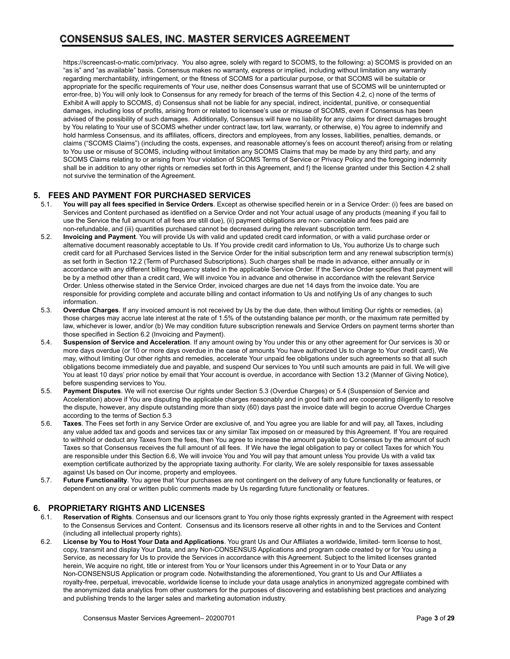<https://screencast-o-matic.com/privacy>. You also agree, solely with regard to SCOMS, to the following: a) SCOMS is provided on an "as is" and "as available" basis. Consensus makes no warranty, express or implied, including without limitation any warranty regarding merchantability, infringement, or the fitness of SCOMS for a particular purpose, or that SCOMS will be suitable or appropriate for the specific requirements of Your use, neither does Consensus warrant that use of SCOMS will be uninterrupted or error-free, b) You will only look to Consensus for any remedy for breach of the terms of this Section 4.2, c) none of the terms of Exhibit A will apply to SCOMS, d) Consensus shall not be liable for any special, indirect, incidental, punitive, or consequential damages, including loss of profits, arising from or related to licensee's use or misuse of SCOMS, even if Consensus has been advised of the possibility of such damages. Additionally, Consensus will have no liability for any claims for direct damages brought by You relating to Your use of SCOMS whether under contract law, tort law, warranty, or otherwise, e) You agree to indemnify and hold harmless Consensus, and its affiliates, officers, directors and employees, from any losses, liabilities, penalties, demands, or claims ("SCOMS Claims") (including the costs, expenses, and reasonable attorney's fees on account thereof) arising from or relating to You use or misuse of SCOMS, including without limitation any SCOMS Claims that may be made by any third party, and any SCOMS Claims relating to or arising from Your violation of SCOMS Terms of Service or Privacy Policy and the foregoing indemnity shall be in addition to any other rights or remedies set forth in this Agreement, and f) the license granted under this Section 4.2 shall not survive the termination of the Agreement.

### **5. FEES AND PAYMENT FOR PURCHASED SERVICES**

- 5.1. **You will pay all fees specified in Service Orders**. Except as otherwise specified herein or in a Service Order: (i) fees are based on Services and Content purchased as identified on a Service Order and not Your actual usage of any products (meaning if you fail to use the Service the full amount of all fees are still due), (ii) payment obligations are non- cancelable and fees paid are non-refundable, and (iii) quantities purchased cannot be decreased during the relevant subscription term.
- 5.2. **Invoicing and Payment**. You will provide Us with valid and updated credit card information, or with a valid purchase order or alternative document reasonably acceptable to Us. If You provide credit card information to Us, You authorize Us to charge such credit card for all Purchased Services listed in the Service Order for the initial subscription term and any renewal subscription term(s) as set forth in Section 12.2 (Term of Purchased Subscriptions). Such charges shall be made in advance, either annually or in accordance with any different billing frequency stated in the applicable Service Order. If the Service Order specifies that payment will be by a method other than a credit card, We will invoice You in advance and otherwise in accordance with the relevant Service Order. Unless otherwise stated in the Service Order, invoiced charges are due net 14 days from the invoice date. You are responsible for providing complete and accurate billing and contact information to Us and notifying Us of any changes to such information.
- 5.3. **Overdue Charges**. If any invoiced amount is not received by Us by the due date, then without limiting Our rights or remedies, (a) those charges may accrue late interest at the rate of 1.5% of the outstanding balance per month, or the maximum rate permitted by law, whichever is lower, and/or (b) We may condition future subscription renewals and Service Orders on payment terms shorter than those specified in Section 6.2 (Invoicing and Payment).
- 5.4. **Suspension of Service and Acceleration**. If any amount owing by You under this or any other agreement for Our services is 30 or more days overdue (or 10 or more days overdue in the case of amounts You have authorized Us to charge to Your credit card), We may, without limiting Our other rights and remedies, accelerate Your unpaid fee obligations under such agreements so that all such obligations become immediately due and payable, and suspend Our services to You until such amounts are paid in full. We will give You at least 10 days' prior notice by email that Your account is overdue, in accordance with Section 13.2 (Manner of Giving Notice), before suspending services to You.
- 5.5. **Payment Disputes**. We will not exercise Our rights under Section 5.3 (Overdue Charges) or 5.4 (Suspension of Service and Acceleration) above if You are disputing the applicable charges reasonably and in good faith and are cooperating diligently to resolve the dispute, however, any dispute outstanding more than sixty (60) days past the invoice date will begin to accrue Overdue Charges according to the terms of Section 5.3
- 5.6. **Taxes**. The Fees set forth in any Service Order are exclusive of, and You agree you are liable for and will pay, all Taxes, including any value added tax and goods and services tax or any similar Tax imposed on or measured by this Agreement. If You are required to withhold or deduct any Taxes from the fees, then You agree to increase the amount payable to Consensus by the amount of such Taxes so that Consensus receives the full amount of all fees. If We have the legal obligation to pay or collect Taxes for which You are responsible under this Section 6.6, We will invoice You and You will pay that amount unless You provide Us with a valid tax exemption certificate authorized by the appropriate taxing authority. For clarity, We are solely responsible for taxes assessable against Us based on Our income, property and employees.
- 5.7. **Future Functionality**. You agree that Your purchases are not contingent on the delivery of any future functionality or features, or dependent on any oral or written public comments made by Us regarding future functionality or features.

### **6. PROPRIETARY RIGHTS AND LICENSES**

- 6.1. **Reservation of Rights**. Consensus and our licensors grant to You only those rights expressly granted in the Agreement with respect to the Consensus Services and Content. Consensus and its licensors reserve all other rights in and to the Services and Content (including all intellectual property rights).
- 6.2. **License by You to Host Your Data and Applications**. You grant Us and Our Affiliates a worldwide, limited- term license to host, copy, transmit and display Your Data, and any Non-CONSENSUS Applications and program code created by or for You using a Service, as necessary for Us to provide the Services in accordance with this Agreement. Subject to the limited licenses granted herein, We acquire no right, title or interest from You or Your licensors under this Agreement in or to Your Data or any Non-CONSENSUS Application or program code. Notwithstanding the aforementioned, You grant to Us and Our Affiliates a royalty-free, perpetual, irrevocable, worldwide license to include your data usage analytics in anonymized aggregate combined with the anonymized data analytics from other customers for the purposes of discovering and establishing best practices and analyzing and publishing trends to the larger sales and marketing automation industry.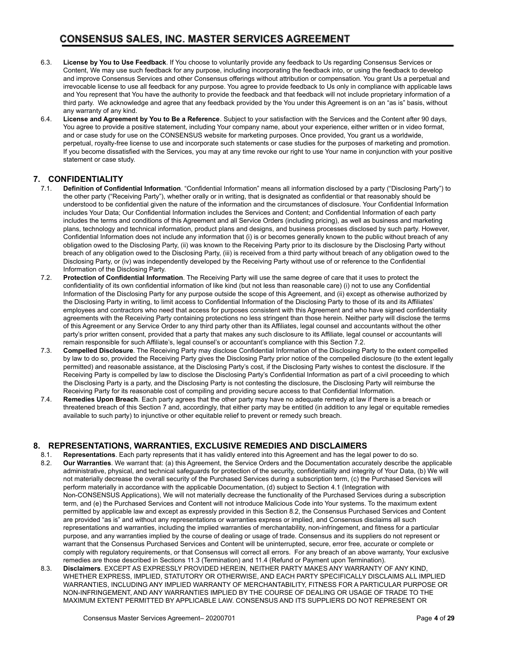- 6.3. **License by You to Use Feedback**. If You choose to voluntarily provide any feedback to Us regarding Consensus Services or Content, We may use such feedback for any purpose, including incorporating the feedback into, or using the feedback to develop and improve Consensus Services and other Consensus offerings without attribution or compensation. You grant Us a perpetual and irrevocable license to use all feedback for any purpose. You agree to provide feedback to Us only in compliance with applicable laws and You represent that You have the authority to provide the feedback and that feedback will not include proprietary information of a third party. We acknowledge and agree that any feedback provided by the You under this Agreement is on an "as is" basis, without any warranty of any kind.
- 6.4. **License and Agreement by You to Be a Reference**. Subject to your satisfaction with the Services and the Content after 90 days, You agree to provide a positive statement, including Your company name, about your experience, either written or in video format, and or case study for use on the CONSENSUS website for marketing purposes. Once provided, You grant us a worldwide, perpetual, royalty-free license to use and incorporate such statements or case studies for the purposes of marketing and promotion. If you become dissatisfied with the Services, you may at any time revoke our right to use Your name in conjunction with your positive statement or case study.

### **7. CONFIDENTIALITY**

- 7.1. **Definition of Confidential Information**. "Confidential Information" means all information disclosed by a party ("Disclosing Party") to the other party ("Receiving Party"), whether orally or in writing, that is designated as confidential or that reasonably should be understood to be confidential given the nature of the information and the circumstances of disclosure. Your Confidential Information includes Your Data; Our Confidential Information includes the Services and Content; and Confidential Information of each party includes the terms and conditions of this Agreement and all Service Orders (including pricing), as well as business and marketing plans, technology and technical information, product plans and designs, and business processes disclosed by such party. However, Confidential Information does not include any information that (i) is or becomes generally known to the public without breach of any obligation owed to the Disclosing Party, (ii) was known to the Receiving Party prior to its disclosure by the Disclosing Party without breach of any obligation owed to the Disclosing Party, (iii) is received from a third party without breach of any obligation owed to the Disclosing Party, or (iv) was independently developed by the Receiving Party without use of or reference to the Confidential Information of the Disclosing Party.
- 7.2. **Protection of Confidential Information**. The Receiving Party will use the same degree of care that it uses to protect the confidentiality of its own confidential information of like kind (but not less than reasonable care) (i) not to use any Confidential Information of the Disclosing Party for any purpose outside the scope of this Agreement, and (ii) except as otherwise authorized by the Disclosing Party in writing, to limit access to Confidential Information of the Disclosing Party to those of its and its Affiliates' employees and contractors who need that access for purposes consistent with this Agreement and who have signed confidentiality agreements with the Receiving Party containing protections no less stringent than those herein. Neither party will disclose the terms of this Agreement or any Service Order to any third party other than its Affiliates, legal counsel and accountants without the other party's prior written consent, provided that a party that makes any such disclosure to its Affiliate, legal counsel or accountants will remain responsible for such Affiliate's, legal counsel's or accountant's compliance with this Section 7.2.
- 7.3. **Compelled Disclosure**. The Receiving Party may disclose Confidential Information of the Disclosing Party to the extent compelled by law to do so, provided the Receiving Party gives the Disclosing Party prior notice of the compelled disclosure (to the extent legally permitted) and reasonable assistance, at the Disclosing Party's cost, if the Disclosing Party wishes to contest the disclosure. If the Receiving Party is compelled by law to disclose the Disclosing Party's Confidential Information as part of a civil proceeding to which the Disclosing Party is a party, and the Disclosing Party is not contesting the disclosure, the Disclosing Party will reimburse the Receiving Party for its reasonable cost of compiling and providing secure access to that Confidential Information.
- 7.4. **Remedies Upon Breach**. Each party agrees that the other party may have no adequate remedy at law if there is a breach or threatened breach of this Section 7 and, accordingly, that either party may be entitled (in addition to any legal or equitable remedies available to such party) to injunctive or other equitable relief to prevent or remedy such breach.

### **8. REPRESENTATIONS, WARRANTIES, EXCLUSIVE REMEDIES AND DISCLAIMERS**

- 8.1. **Representations**. Each party represents that it has validly entered into this Agreement and has the legal power to do so. 8.2. **Our Warranties**. We warrant that: (a) this Agreement, the Service Orders and the Documentation accurately describe the applicable administrative, physical, and technical safeguards for protection of the security, confidentiality and integrity of Your Data, (b) We will not materially decrease the overall security of the Purchased Services during a subscription term, (c) the Purchased Services will perform materially in accordance with the applicable Documentation, (d) subject to Section 4.1 (Integration with Non-CONSENSUS Applications), We will not materially decrease the functionality of the Purchased Services during a subscription term, and (e) the Purchased Services and Content will not introduce Malicious Code into Your systems. To the maximum extent permitted by applicable law and except as expressly provided in this Section 8.2, the Consensus Purchased Services and Content are provided "as is" and without any representations or warranties express or implied, and Consensus disclaims all such representations and warranties, including the implied warranties of merchantability, non-infringement, and fitness for a particular purpose, and any warranties implied by the course of dealing or usage of trade. Consensus and its suppliers do not represent or warrant that the Consensus Purchased Services and Content will be uninterrupted, secure, error free, accurate or complete or comply with regulatory requirements, or that Consensus will correct all errors. For any breach of an above warranty, Your exclusive remedies are those described in Sections 11.3 (Termination) and 11.4 (Refund or Payment upon Termination).
- 8.3. **Disclaimers**. EXCEPT AS EXPRESSLY PROVIDED HEREIN, NEITHER PARTY MAKES ANY WARRANTY OF ANY KIND, WHETHER EXPRESS, IMPLIED, STATUTORY OR OTHERWISE, AND EACH PARTY SPECIFICALLY DISCLAIMS ALL IMPLIED WARRANTIES, INCLUDING ANY IMPLIED WARRANTY OF MERCHANTABILITY, FITNESS FOR A PARTICULAR PURPOSE OR NON-INFRINGEMENT, AND ANY WARRANTIES IMPLIED BY THE COURSE OF DEALING OR USAGE OF TRADE TO THE MAXIMUM EXTENT PERMITTED BY APPLICABLE LAW. CONSENSUS AND ITS SUPPLIERS DO NOT REPRESENT OR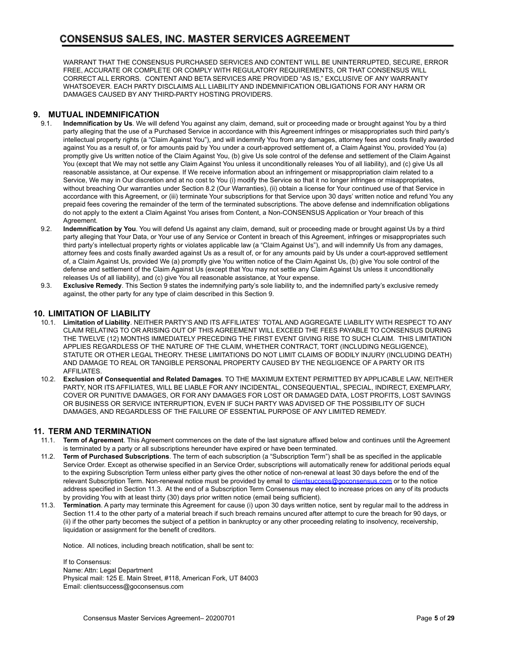WARRANT THAT THE CONSENSUS PURCHASED SERVICES AND CONTENT WILL BE UNINTERRUPTED, SECURE, ERROR FREE, ACCURATE OR COMPLETE OR COMPLY WITH REGULATORY REQUIREMENTS, OR THAT CONSENSUS WILL CORRECT ALL ERRORS. CONTENT AND BETA SERVICES ARE PROVIDED "AS IS," EXCLUSIVE OF ANY WARRANTY WHATSOEVER. EACH PARTY DISCLAIMS ALL LIABILITY AND INDEMNIFICATION OBLIGATIONS FOR ANY HARM OR DAMAGES CAUSED BY ANY THIRD-PARTY HOSTING PROVIDERS.

### **9. MUTUAL INDEMNIFICATION**

- 9.1. **Indemnification by Us**. We will defend You against any claim, demand, suit or proceeding made or brought against You by a third party alleging that the use of a Purchased Service in accordance with this Agreement infringes or misappropriates such third party's intellectual property rights (a "Claim Against You"), and will indemnify You from any damages, attorney fees and costs finally awarded against You as a result of, or for amounts paid by You under a court-approved settlement of, a Claim Against You, provided You (a) promptly give Us written notice of the Claim Against You, (b) give Us sole control of the defense and settlement of the Claim Against You (except that We may not settle any Claim Against You unless it unconditionally releases You of all liability), and (c) give Us all reasonable assistance, at Our expense. If We receive information about an infringement or misappropriation claim related to a Service, We may in Our discretion and at no cost to You (i) modify the Service so that it no longer infringes or misappropriates, without breaching Our warranties under Section 8.2 (Our Warranties), (ii) obtain a license for Your continued use of that Service in accordance with this Agreement, or (iii) terminate Your subscriptions for that Service upon 30 days' written notice and refund You any prepaid fees covering the remainder of the term of the terminated subscriptions. The above defense and indemnification obligations do not apply to the extent a Claim Against You arises from Content, a Non-CONSENSUS Application or Your breach of this Agreement.
- 9.2. **Indemnification by You**. You will defend Us against any claim, demand, suit or proceeding made or brought against Us by a third party alleging that Your Data, or Your use of any Service or Content in breach of this Agreement, infringes or misappropriates such third party's intellectual property rights or violates applicable law (a "Claim Against Us"), and will indemnify Us from any damages, attorney fees and costs finally awarded against Us as a result of, or for any amounts paid by Us under a court-approved settlement of, a Claim Against Us, provided We (a) promptly give You written notice of the Claim Against Us, (b) give You sole control of the defense and settlement of the Claim Against Us (except that You may not settle any Claim Against Us unless it unconditionally releases Us of all liability), and (c) give You all reasonable assistance, at Your expense.
- 9.3. **Exclusive Remedy**. This Section 9 states the indemnifying party's sole liability to, and the indemnified party's exclusive remedy against, the other party for any type of claim described in this Section 9.

### **10. LIMITATION OF LIABILITY**

- 10.1. **Limitation of Liability**. NEITHER PARTY'S AND ITS AFFILIATES' TOTAL AND AGGREGATE LIABILITY WITH RESPECT TO ANY CLAIM RELATING TO OR ARISING OUT OF THIS AGREEMENT WILL EXCEED THE FEES PAYABLE TO CONSENSUS DURING THE TWELVE (12) MONTHS IMMEDIATELY PRECEDING THE FIRST EVENT GIVING RISE TO SUCH CLAIM. THIS LIMITATION APPLIES REGARDLESS OF THE NATURE OF THE CLAIM, WHETHER CONTRACT, TORT (INCLUDING NEGLIGENCE), STATUTE OR OTHER LEGAL THEORY. THESE LIMITATIONS DO NOT LIMIT CLAIMS OF BODILY INJURY (INCLUDING DEATH) AND DAMAGE TO REAL OR TANGIBLE PERSONAL PROPERTY CAUSED BY THE NEGLIGENCE OF A PARTY OR ITS AFFILIATES.
- 10.2. **Exclusion of Consequential and Related Damages**. TO THE MAXIMUM EXTENT PERMITTED BY APPLICABLE LAW, NEITHER PARTY, NOR ITS AFFILIATES, WILL BE LIABLE FOR ANY INCIDENTAL, CONSEQUENTIAL, SPECIAL, INDIRECT, EXEMPLARY, COVER OR PUNITIVE DAMAGES, OR FOR ANY DAMAGES FOR LOST OR DAMAGED DATA, LOST PROFITS, LOST SAVINGS OR BUSINESS OR SERVICE INTERRUPTION, EVEN IF SUCH PARTY WAS ADVISED OF THE POSSIBILITY OF SUCH DAMAGES, AND REGARDLESS OF THE FAILURE OF ESSENTIAL PURPOSE OF ANY LIMITED REMEDY.

#### **11. TERM AND TERMINATION**

- 11.1. **Term of Agreement**. This Agreement commences on the date of the last signature affixed below and continues until the Agreement is terminated by a party or all subscriptions hereunder have expired or have been terminated.
- 11.2. **Term of Purchased Subscriptions**. The term of each subscription (a "Subscription Term") shall be as specified in the applicable Service Order. Except as otherwise specified in an Service Order, subscriptions will automatically renew for additional periods equal to the expiring Subscription Term unless either party gives the other notice of non-renewal at least 30 days before the end of the relevant Subscription Term. Non-renewal notice must be provided by email to [clientsuccess@goconsensus.com](mailto:clientsuccess@goconsensus.com) or to the notice address specified in Section 11.3. At the end of a Subscription Term Consensus may elect to increase prices on any of its products by providing You with at least thirty (30) days prior written notice (email being sufficient).
- 11.3. **Termination**. A party may terminate this Agreement for cause (i) upon 30 days written notice, sent by regular mail to the address in Section 11.4 to the other party of a material breach if such breach remains uncured after attempt to cure the breach for 90 days, or (ii) if the other party becomes the subject of a petition in bankruptcy or any other proceeding relating to insolvency, receivership, liquidation or assignment for the benefit of creditors.

Notice. All notices, including breach notification, shall be sent to:

If to Consensus: Name: Attn: Legal Department Physical mail: 125 E. Main Street, #118, American Fork, UT 84003 Email: [clientsuccess@goconsensus.com](mailto:clientsuccess@goconsensus.com)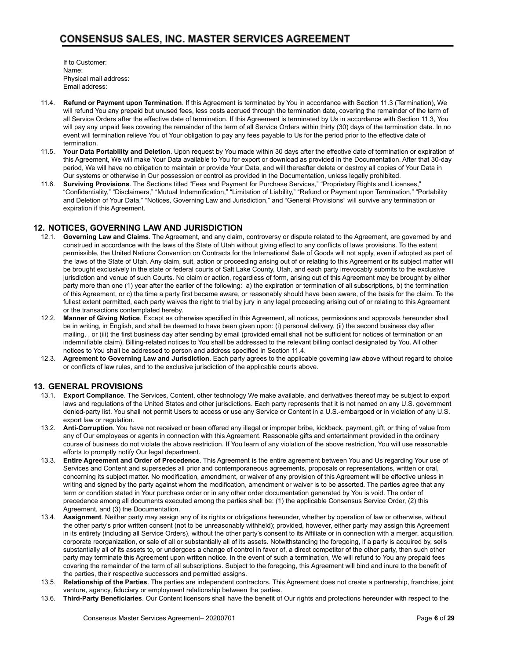If to Customer: Name: Physical mail address: Email address:

- 11.4. **Refund or Payment upon Termination**. If this Agreement is terminated by You in accordance with Section 11.3 (Termination), We will refund You any prepaid but unused fees, less costs accrued through the termination date, covering the remainder of the term of all Service Orders after the effective date of termination. If this Agreement is terminated by Us in accordance with Section 11.3, You will pay any unpaid fees covering the remainder of the term of all Service Orders within thirty (30) days of the termination date. In no event will termination relieve You of Your obligation to pay any fees payable to Us for the period prior to the effective date of termination.
- 11.5. **Your Data Portability and Deletion**. Upon request by You made within 30 days after the effective date of termination or expiration of this Agreement, We will make Your Data available to You for export or download as provided in the Documentation. After that 30-day period, We will have no obligation to maintain or provide Your Data, and will thereafter delete or destroy all copies of Your Data in Our systems or otherwise in Our possession or control as provided in the Documentation, unless legally prohibited.
- 11.6. **Surviving Provisions**. The Sections titled "Fees and Payment for Purchase Services," "Proprietary Rights and Licenses," "Confidentiality," "Disclaimers," "Mutual Indemnification," "Limitation of Liability," "Refund or Payment upon Termination," "Portability and Deletion of Your Data," "Notices, Governing Law and Jurisdiction," and "General Provisions" will survive any termination or expiration if this Agreement.

### **12. NOTICES, GOVERNING LAW AND JURISDICTION**

- 12.1. **Governing Law and Claims**. The Agreement, and any claim, controversy or dispute related to the Agreement, are governed by and construed in accordance with the laws of the State of Utah without giving effect to any conflicts of laws provisions. To the extent permissible, the United Nations Convention on Contracts for the International Sale of Goods will not apply, even if adopted as part of the laws of the State of Utah. Any claim, suit, action or proceeding arising out of or relating to this Agreement or its subject matter will be brought exclusively in the state or federal courts of Salt Lake County, Utah, and each party irrevocably submits to the exclusive jurisdiction and venue of such Courts. No claim or action, regardless of form, arising out of this Agreement may be brought by either party more than one (1) year after the earlier of the following: a) the expiration or termination of all subscriptions, b) the termination of this Agreement, or c) the time a party first became aware, or reasonably should have been aware, of the basis for the claim. To the fullest extent permitted, each party waives the right to trial by jury in any legal proceeding arising out of or relating to this Agreement or the transactions contemplated hereby.
- 12.2. **Manner of Giving Notice**. Except as otherwise specified in this Agreement, all notices, permissions and approvals hereunder shall be in writing, in English, and shall be deemed to have been given upon: (i) personal delivery, (ii) the second business day after mailing, , or (iii) the first business day after sending by email (provided email shall not be sufficient for notices of termination or an indemnifiable claim). Billing-related notices to You shall be addressed to the relevant billing contact designated by You. All other notices to You shall be addressed to person and address specified in Section 11.4.
- 12.3. **Agreement to Governing Law and Jurisdiction**. Each party agrees to the applicable governing law above without regard to choice or conflicts of law rules, and to the exclusive jurisdiction of the applicable courts above.

### **13. GENERAL PROVISIONS**

- 13.1. **Export Compliance**. The Services, Content, other technology We make available, and derivatives thereof may be subject to export laws and regulations of the United States and other jurisdictions. Each party represents that it is not named on any U.S. government denied-party list. You shall not permit Users to access or use any Service or Content in a U.S.-embargoed or in violation of any U.S. export law or regulation.
- 13.2. **Anti-Corruption**. You have not received or been offered any illegal or improper bribe, kickback, payment, gift, or thing of value from any of Our employees or agents in connection with this Agreement. Reasonable gifts and entertainment provided in the ordinary course of business do not violate the above restriction. If You learn of any violation of the above restriction, You will use reasonable efforts to promptly notify Our legal department.
- 13.3. **Entire Agreement and Order of Precedence**. This Agreement is the entire agreement between You and Us regarding Your use of Services and Content and supersedes all prior and contemporaneous agreements, proposals or representations, written or oral, concerning its subject matter. No modification, amendment, or waiver of any provision of this Agreement will be effective unless in writing and signed by the party against whom the modification, amendment or waiver is to be asserted. The parties agree that any term or condition stated in Your purchase order or in any other order documentation generated by You is void. The order of precedence among all documents executed among the parties shall be: (1) the applicable Consensus Service Order, (2) this Agreement, and (3) the Documentation.
- 13.4. **Assignment**. Neither party may assign any of its rights or obligations hereunder, whether by operation of law or otherwise, without the other party's prior written consent (not to be unreasonably withheld); provided, however, either party may assign this Agreement in its entirety (including all Service Orders), without the other party's consent to its Affiliate or in connection with a merger, acquisition, corporate reorganization, or sale of all or substantially all of its assets. Notwithstanding the foregoing, if a party is acquired by, sells substantially all of its assets to, or undergoes a change of control in favor of, a direct competitor of the other party, then such other party may terminate this Agreement upon written notice. In the event of such a termination, We will refund to You any prepaid fees covering the remainder of the term of all subscriptions. Subject to the foregoing, this Agreement will bind and inure to the benefit of the parties, their respective successors and permitted assigns.
- 13.5. **Relationship of the Parties**. The parties are independent contractors. This Agreement does not create a partnership, franchise, joint venture, agency, fiduciary or employment relationship between the parties.
- 13.6. **Third-Party Beneficiaries**. Our Content licensors shall have the benefit of Our rights and protections hereunder with respect to the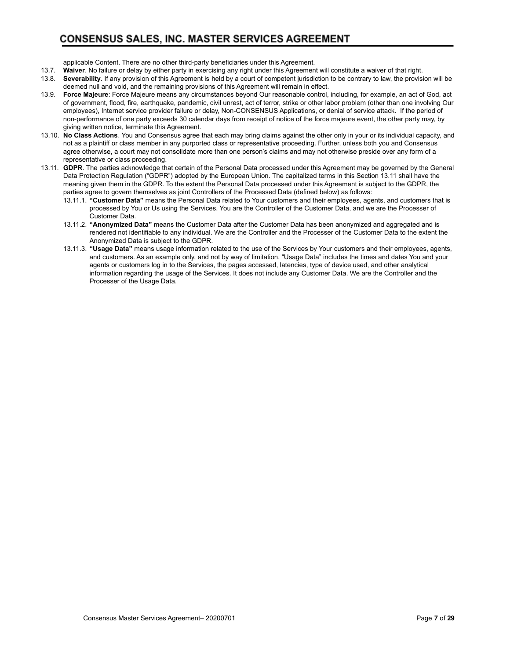applicable Content. There are no other third-party beneficiaries under this Agreement.

- 13.7. **Waiver**. No failure or delay by either party in exercising any right under this Agreement will constitute a waiver of that right.
- 13.8. **Severability**. If any provision of this Agreement is held by a court of competent jurisdiction to be contrary to law, the provision will be deemed null and void, and the remaining provisions of this Agreement will remain in effect.
- 13.9. **Force Majeure**: Force Majeure means any circumstances beyond Our reasonable control, including, for example, an act of God, act of government, flood, fire, earthquake, pandemic, civil unrest, act of terror, strike or other labor problem (other than one involving Our employees), Internet service provider failure or delay, Non-CONSENSUS Applications, or denial of service attack. If the period of non-performance of one party exceeds 30 calendar days from receipt of notice of the force majeure event, the other party may, by giving written notice, terminate this Agreement.
- 13.10. **No Class Actions**. You and Consensus agree that each may bring claims against the other only in your or its individual capacity, and not as a plaintiff or class member in any purported class or representative proceeding. Further, unless both you and Consensus agree otherwise, a court may not consolidate more than one person's claims and may not otherwise preside over any form of a representative or class proceeding.
- 13.11. **GDPR**. The parties acknowledge that certain of the Personal Data processed under this Agreement may be governed by the General Data Protection Regulation ("GDPR") adopted by the European Union. The capitalized terms in this Section 13.11 shall have the meaning given them in the GDPR. To the extent the Personal Data processed under this Agreement is subject to the GDPR, the parties agree to govern themselves as joint Controllers of the Processed Data (defined below) as follows:
	- 13.11.1. **"Customer Data"** means the Personal Data related to Your customers and their employees, agents, and customers that is processed by You or Us using the Services. You are the Controller of the Customer Data, and we are the Processer of Customer Data.
	- 13.11.2. **"Anonymized Data"** means the Customer Data after the Customer Data has been anonymized and aggregated and is rendered not identifiable to any individual. We are the Controller and the Processer of the Customer Data to the extent the Anonymized Data is subject to the GDPR.
	- 13.11.3. **"Usage Data"** means usage information related to the use of the Services by Your customers and their employees, agents, and customers. As an example only, and not by way of limitation, "Usage Data" includes the times and dates You and your agents or customers log in to the Services, the pages accessed, latencies, type of device used, and other analytical information regarding the usage of the Services. It does not include any Customer Data. We are the Controller and the Processer of the Usage Data.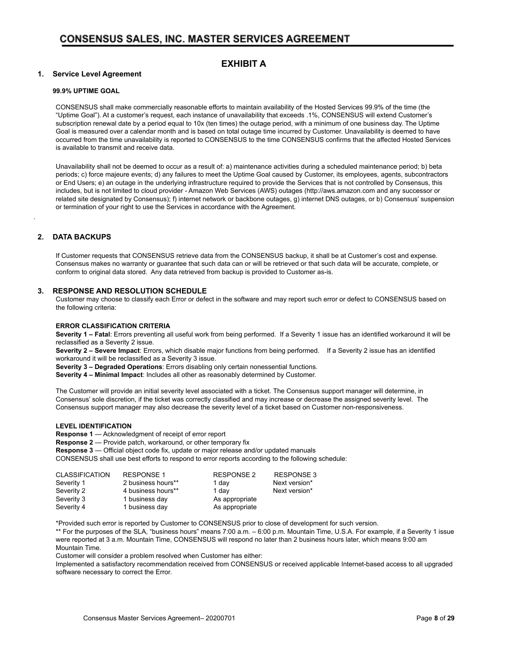### **EXHIBIT A**

#### **1. Service Level Agreement**

#### **99.9% UPTIME GOAL**

CONSENSUS shall make commercially reasonable efforts to maintain availability of the Hosted Services 99.9% of the time (the "Uptime Goal"). At a customer's request, each instance of unavailability that exceeds .1%, CONSENSUS will extend Customer's subscription renewal date by a period equal to 10x (ten times) the outage period, with a minimum of one business day. The Uptime Goal is measured over a calendar month and is based on total outage time incurred by Customer. Unavailability is deemed to have occurred from the time unavailability is reported to CONSENSUS to the time CONSENSUS confirms that the affected Hosted Services is available to transmit and receive data.

Unavailability shall not be deemed to occur as a result of: a) maintenance activities during a scheduled maintenance period; b) beta periods; c) force majeure events; d) any failures to meet the Uptime Goal caused by Customer, its employees, agents, subcontractors or End Users; e) an outage in the underlying infrastructure required to provide the Services that is not controlled by Consensus, this includes, but is not limited to cloud provider - Amazon Web Services (AWS) outages (http://aws.amazon.com and any successor or related site designated by Consensus); f) internet network or backbone outages, g) internet DNS outages, or b) Consensus' suspension or termination of your right to use the Services in accordance with the Agreement.

#### **2. DATA BACKUPS**

.

If Customer requests that CONSENSUS retrieve data from the CONSENSUS backup, it shall be at Customer's cost and expense. Consensus makes no warranty or guarantee that such data can or will be retrieved or that such data will be accurate, complete, or conform to original data stored. Any data retrieved from backup is provided to Customer as-is.

#### **3. RESPONSE AND RESOLUTION SCHEDULE**

Customer may choose to classify each Error or defect in the software and may report such error or defect to CONSENSUS based on the following criteria:

#### **ERROR CLASSIFICATION CRITERIA**

**Severity 1 – Fatal**: Errors preventing all useful work from being performed. If a Severity 1 issue has an identified workaround it will be reclassified as a Severity 2 issue.

**Severity 2 – Severe Impact**: Errors, which disable major functions from being performed. If a Severity 2 issue has an identified workaround it will be reclassified as a Severity 3 issue.

**Severity 3 – Degraded Operations**: Errors disabling only certain nonessential functions.

**Severity 4 – Minimal Impact**: Includes all other as reasonably determined by Customer.

The Customer will provide an initial severity level associated with a ticket. The Consensus support manager will determine, in Consensus' sole discretion, if the ticket was correctly classified and may increase or decrease the assigned severity level. The Consensus support manager may also decrease the severity level of a ticket based on Customer non-responsiveness.

#### **LEVEL IDENTIFICATION**

**Response 1** — Acknowledgment of receipt of error report

**Response 2** — Provide patch, workaround, or other temporary fix

**Response 3** — Official object code fix, update or major release and/or updated manuals

CONSENSUS shall use best efforts to respond to error reports according to the following schedule:

| <b>CLASSIFICATION</b> | <b>RESPONSE 1</b>  | <b>RESPONSE 2</b> | RESPONSE 3    |
|-----------------------|--------------------|-------------------|---------------|
| Severity 1            | 2 business hours** | 1 day             | Next version* |
| Severity 2            | 4 business hours** | 1 dav             | Next version* |
| Severity 3            | 1 business day     | As appropriate    |               |
| Severity 4            | 1 business day     | As appropriate    |               |

\*Provided such error is reported by Customer to CONSENSUS prior to close of development for such version.

\*\* For the purposes of the SLA, "business hours" means 7:00 a.m. – 6:00 p.m. Mountain Time, U.S.A. For example, if a Severity 1 issue were reported at 3 a.m. Mountain Time, CONSENSUS will respond no later than 2 business hours later, which means 9:00 am Mountain Time.

Customer will consider a problem resolved when Customer has either:

Implemented a satisfactory recommendation received from CONSENSUS or received applicable Internet-based access to all upgraded software necessary to correct the Error.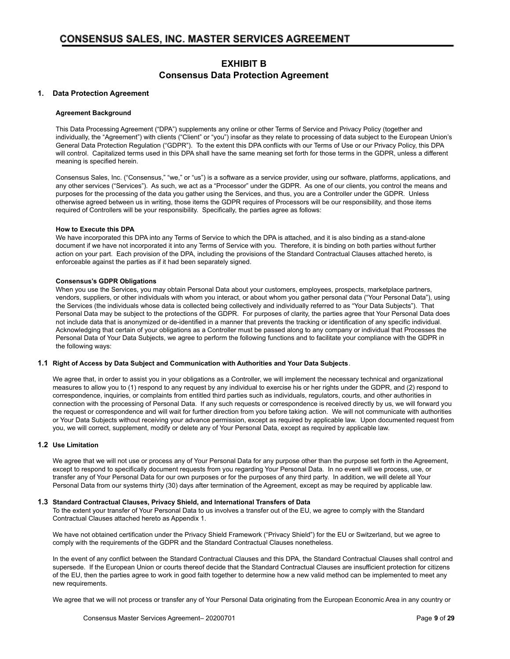### **EXHIBIT B Consensus Data Protection Agreement**

#### **1. Data Protection Agreement**

#### **Agreement Background**

This Data Processing Agreement ("DPA") supplements any online or other Terms of Service and Privacy Policy (together and individually, the "Agreement") with clients ("Client" or "you") insofar as they relate to processing of data subject to the European Union's General Data Protection Regulation ("GDPR"). To the extent this DPA conflicts with our Terms of Use or our Privacy Policy, this DPA will control. Capitalized terms used in this DPA shall have the same meaning set forth for those terms in the GDPR, unless a different meaning is specified herein.

Consensus Sales, Inc. ("Consensus," "we," or "us") is a software as a service provider, using our software, platforms, applications, and any other services ("Services"). As such, we act as a "Processor" under the GDPR. As one of our clients, you control the means and purposes for the processing of the data you gather using the Services, and thus, you are a Controller under the GDPR. Unless otherwise agreed between us in writing, those items the GDPR requires of Processors will be our responsibility, and those items required of Controllers will be your responsibility. Specifically, the parties agree as follows:

#### **How to Execute this DPA**

We have incorporated this DPA into any Terms of Service to which the DPA is attached, and it is also binding as a stand-alone document if we have not incorporated it into any Terms of Service with you. Therefore, it is binding on both parties without further action on your part. Each provision of the DPA, including the provisions of the Standard Contractual Clauses attached hereto, is enforceable against the parties as if it had been separately signed.

#### **Consensus's GDPR Obligations**

When you use the Services, you may obtain Personal Data about your customers, employees, prospects, marketplace partners, vendors, suppliers, or other individuals with whom you interact, or about whom you gather personal data ("Your Personal Data"), using the Services (the individuals whose data is collected being collectively and individually referred to as "Your Data Subjects"). That Personal Data may be subject to the protections of the GDPR. For purposes of clarity, the parties agree that Your Personal Data does not include data that is anonymized or de-identified in a manner that prevents the tracking or identification of any specific individual. Acknowledging that certain of your obligations as a Controller must be passed along to any company or individual that Processes the Personal Data of Your Data Subjects, we agree to perform the following functions and to facilitate your compliance with the GDPR in the following ways:

#### **1.1 Right of Access by Data Subject and Communication with Authorities and Your Data Subjects**.

We agree that, in order to assist you in your obligations as a Controller, we will implement the necessary technical and organizational measures to allow you to (1) respond to any request by any individual to exercise his or her rights under the GDPR, and (2) respond to correspondence, inquiries, or complaints from entitled third parties such as individuals, regulators, courts, and other authorities in connection with the processing of Personal Data. If any such requests or correspondence is received directly by us, we will forward you the request or correspondence and will wait for further direction from you before taking action. We will not communicate with authorities or Your Data Subjects without receiving your advance permission, except as required by applicable law. Upon documented request from you, we will correct, supplement, modify or delete any of Your Personal Data, except as required by applicable law.

#### **1.2 Use Limitation**

We agree that we will not use or process any of Your Personal Data for any purpose other than the purpose set forth in the Agreement, except to respond to specifically document requests from you regarding Your Personal Data. In no event will we process, use, or transfer any of Your Personal Data for our own purposes or for the purposes of any third party. In addition, we will delete all Your Personal Data from our systems thirty (30) days after termination of the Agreement, except as may be required by applicable law.

#### **1.3 Standard Contractual Clauses, Privacy Shield, and International Transfers of Data**

To the extent your transfer of Your Personal Data to us involves a transfer out of the EU, we agree to comply with the Standard Contractual Clauses attached hereto as Appendix 1.

We have not obtained certification under the Privacy Shield Framework ("Privacy Shield") for the EU or Switzerland, but we agree to comply with the requirements of the GDPR and the Standard Contractual Clauses nonetheless.

In the event of any conflict between the Standard Contractual Clauses and this DPA, the Standard Contractual Clauses shall control and supersede. If the European Union or courts thereof decide that the Standard Contractual Clauses are insufficient protection for citizens of the EU, then the parties agree to work in good faith together to determine how a new valid method can be implemented to meet any new requirements.

We agree that we will not process or transfer any of Your Personal Data originating from the European Economic Area in any country or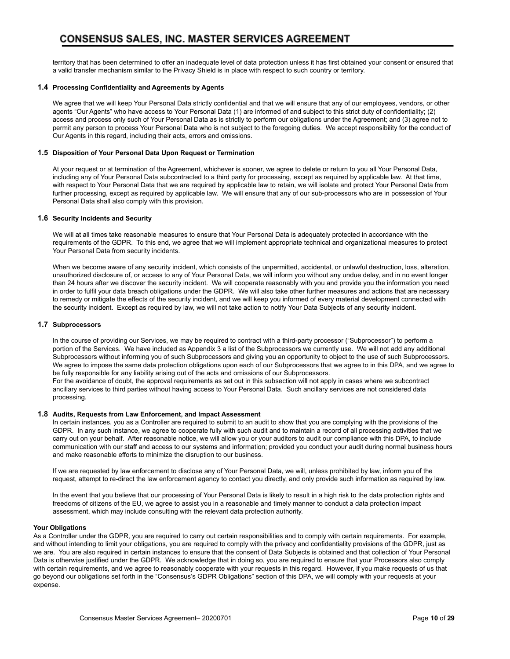territory that has been determined to offer an inadequate level of data protection unless it has first obtained your consent or ensured that a valid transfer mechanism similar to the Privacy Shield is in place with respect to such country or territory.

#### **1.4 Processing Confidentiality and Agreements by Agents**

We agree that we will keep Your Personal Data strictly confidential and that we will ensure that any of our employees, vendors, or other agents "Our Agents" who have access to Your Personal Data (1) are informed of and subject to this strict duty of confidentiality; (2) access and process only such of Your Personal Data as is strictly to perform our obligations under the Agreement; and (3) agree not to permit any person to process Your Personal Data who is not subject to the foregoing duties. We accept responsibility for the conduct of Our Agents in this regard, including their acts, errors and omissions.

#### **1.5 Disposition of Your Personal Data Upon Request or Termination**

At your request or at termination of the Agreement, whichever is sooner, we agree to delete or return to you all Your Personal Data, including any of Your Personal Data subcontracted to a third party for processing, except as required by applicable law. At that time, with respect to Your Personal Data that we are required by applicable law to retain, we will isolate and protect Your Personal Data from further processing, except as required by applicable law. We will ensure that any of our sub-processors who are in possession of Your Personal Data shall also comply with this provision.

#### **1.6 Security Incidents and Security**

We will at all times take reasonable measures to ensure that Your Personal Data is adequately protected in accordance with the requirements of the GDPR. To this end, we agree that we will implement appropriate technical and organizational measures to protect Your Personal Data from security incidents.

When we become aware of any security incident, which consists of the unpermitted, accidental, or unlawful destruction, loss, alteration, unauthorized disclosure of, or access to any of Your Personal Data, we will inform you without any undue delay, and in no event longer than 24 hours after we discover the security incident. We will cooperate reasonably with you and provide you the information you need in order to fulfil your data breach obligations under the GDPR. We will also take other further measures and actions that are necessary to remedy or mitigate the effects of the security incident, and we will keep you informed of every material development connected with the security incident. Except as required by law, we will not take action to notify Your Data Subjects of any security incident.

#### **1.7 Subprocessors**

In the course of providing our Services, we may be required to contract with a third-party processor ("Subprocessor") to perform a portion of the Services. We have included as Appendix 3 a list of the Subprocessors we currently use. We will not add any additional Subprocessors without informing you of such Subprocessors and giving you an opportunity to object to the use of such Subprocessors. We agree to impose the same data protection obligations upon each of our Subprocessors that we agree to in this DPA, and we agree to be fully responsible for any liability arising out of the acts and omissions of our Subprocessors.

For the avoidance of doubt, the approval requirements as set out in this subsection will not apply in cases where we subcontract ancillary services to third parties without having access to Your Personal Data. Such ancillary services are not considered data processing.

#### **1.8 Audits, Requests from Law Enforcement, and Impact Assessment**

In certain instances, you as a Controller are required to submit to an audit to show that you are complying with the provisions of the GDPR. In any such instance, we agree to cooperate fully with such audit and to maintain a record of all processing activities that we carry out on your behalf. After reasonable notice, we will allow you or your auditors to audit our compliance with this DPA, to include communication with our staff and access to our systems and information; provided you conduct your audit during normal business hours and make reasonable efforts to minimize the disruption to our business.

If we are requested by law enforcement to disclose any of Your Personal Data, we will, unless prohibited by law, inform you of the request, attempt to re-direct the law enforcement agency to contact you directly, and only provide such information as required by law.

In the event that you believe that our processing of Your Personal Data is likely to result in a high risk to the data protection rights and freedoms of citizens of the EU, we agree to assist you in a reasonable and timely manner to conduct a data protection impact assessment, which may include consulting with the relevant data protection authority.

#### **Your Obligations**

As a Controller under the GDPR, you are required to carry out certain responsibilities and to comply with certain requirements. For example, and without intending to limit your obligations, you are required to comply with the privacy and confidentiality provisions of the GDPR, just as we are. You are also required in certain instances to ensure that the consent of Data Subjects is obtained and that collection of Your Personal Data is otherwise justified under the GDPR. We acknowledge that in doing so, you are required to ensure that your Processors also comply with certain requirements, and we agree to reasonably cooperate with your requests in this regard. However, if you make requests of us that go beyond our obligations set forth in the "Consensus's GDPR Obligations" section of this DPA, we will comply with your requests at your expense.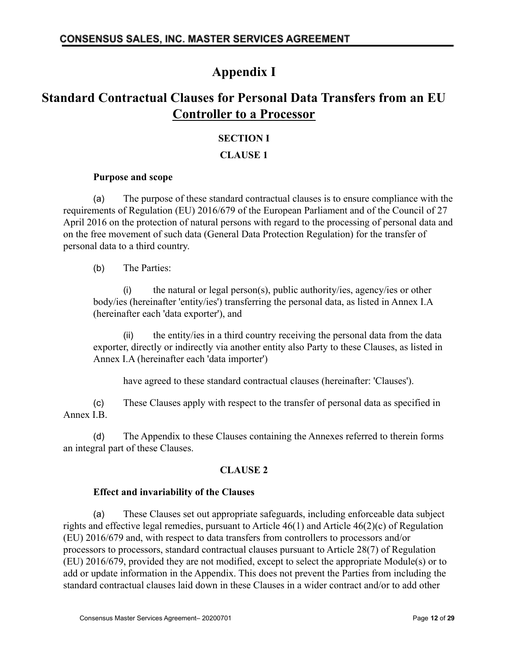# **Appendix I**

# **Standard Contractual Clauses for Personal Data Transfers from an EU Controller to a Processor**

# **SECTION I**

# **CLAUSE 1**

# **Purpose and scope**

(a) The purpose of these standard contractual clauses is to ensure compliance with the requirements of Regulation (EU) 2016/679 of the European Parliament and of the Council of 27 April 2016 on the protection of natural persons with regard to the processing of personal data and on the free movement of such data (General Data Protection Regulation) for the transfer of personal data to a third country.

(b) The Parties:

(i) the natural or legal person(s), public authority/ies, agency/ies or other body/ies (hereinafter 'entity/ies') transferring the personal data, as listed in Annex I.A (hereinafter each 'data exporter'), and

(ii) the entity/ies in a third country receiving the personal data from the data exporter, directly or indirectly via another entity also Party to these Clauses, as listed in Annex I.A (hereinafter each 'data importer')

have agreed to these standard contractual clauses (hereinafter: 'Clauses').

(c) These Clauses apply with respect to the transfer of personal data as specified in Annex I.B.

(d) The Appendix to these Clauses containing the Annexes referred to therein forms an integral part of these Clauses.

# **CLAUSE 2**

# **Effect and invariability of the Clauses**

(a) These Clauses set out appropriate safeguards, including enforceable data subject rights and effective legal remedies, pursuant to Article 46(1) and Article 46(2)(c) of Regulation (EU) 2016/679 and, with respect to data transfers from controllers to processors and/or processors to processors, standard contractual clauses pursuant to Article 28(7) of Regulation (EU) 2016/679, provided they are not modified, except to select the appropriate Module(s) or to add or update information in the Appendix. This does not prevent the Parties from including the standard contractual clauses laid down in these Clauses in a wider contract and/or to add other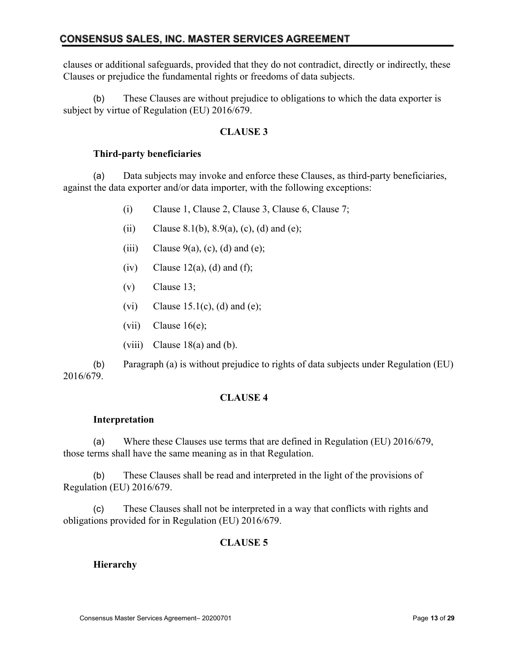clauses or additional safeguards, provided that they do not contradict, directly or indirectly, these Clauses or prejudice the fundamental rights or freedoms of data subjects.

(b) These Clauses are without prejudice to obligations to which the data exporter is subject by virtue of Regulation (EU) 2016/679.

# **CLAUSE 3**

# **Third-party beneficiaries**

(a) Data subjects may invoke and enforce these Clauses, as third-party beneficiaries, against the data exporter and/or data importer, with the following exceptions:

- (i) Clause 1, Clause 2, Clause 3, Clause 6, Clause 7;
- (ii) Clause 8.1(b), 8.9(a), (c), (d) and (e);
- (iii) Clause  $9(a)$ , (c), (d) and (e);
- (iv) Clause 12(a), (d) and (f);
- $(v)$  Clause 13;
- (vi) Clause 15.1(c), (d) and (e);
- (vii) Clause  $16(e)$ ;
- (viii) Clause  $18(a)$  and (b).

(b) Paragraph (a) is without prejudice to rights of data subjects under Regulation (EU) 2016/679.

# **CLAUSE 4**

### **Interpretation**

(a) Where these Clauses use terms that are defined in Regulation (EU) 2016/679, those terms shall have the same meaning as in that Regulation.

(b) These Clauses shall be read and interpreted in the light of the provisions of Regulation (EU) 2016/679.

(c) These Clauses shall not be interpreted in a way that conflicts with rights and obligations provided for in Regulation (EU) 2016/679.

# **CLAUSE 5**

# **Hierarchy**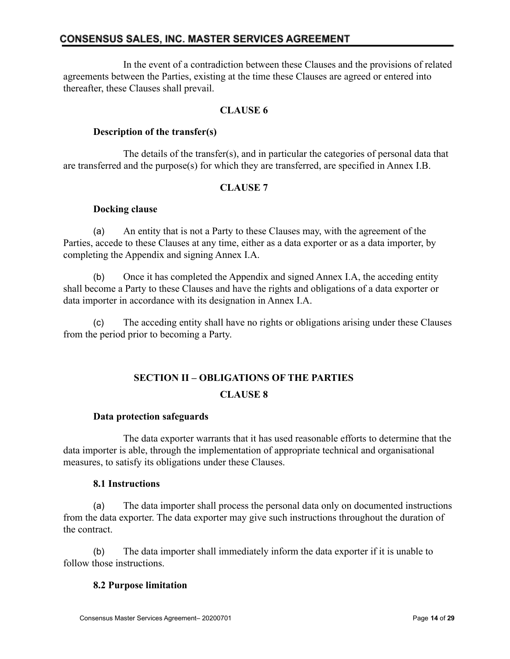In the event of a contradiction between these Clauses and the provisions of related agreements between the Parties, existing at the time these Clauses are agreed or entered into thereafter, these Clauses shall prevail.

# **CLAUSE 6**

# **Description of the transfer(s)**

The details of the transfer(s), and in particular the categories of personal data that are transferred and the purpose(s) for which they are transferred, are specified in Annex I.B.

# **CLAUSE 7**

# **Docking clause**

(a) An entity that is not a Party to these Clauses may, with the agreement of the Parties, accede to these Clauses at any time, either as a data exporter or as a data importer, by completing the Appendix and signing Annex I.A.

(b) Once it has completed the Appendix and signed Annex I.A, the acceding entity shall become a Party to these Clauses and have the rights and obligations of a data exporter or data importer in accordance with its designation in Annex I.A.

(c) The acceding entity shall have no rights or obligations arising under these Clauses from the period prior to becoming a Party.

# **SECTION II – OBLIGATIONS OF THE PARTIES**

# **CLAUSE 8**

### **Data protection safeguards**

The data exporter warrants that it has used reasonable efforts to determine that the data importer is able, through the implementation of appropriate technical and organisational measures, to satisfy its obligations under these Clauses.

### **8.1 Instructions**

(a) The data importer shall process the personal data only on documented instructions from the data exporter. The data exporter may give such instructions throughout the duration of the contract.

(b) The data importer shall immediately inform the data exporter if it is unable to follow those instructions.

# **8.2 Purpose limitation**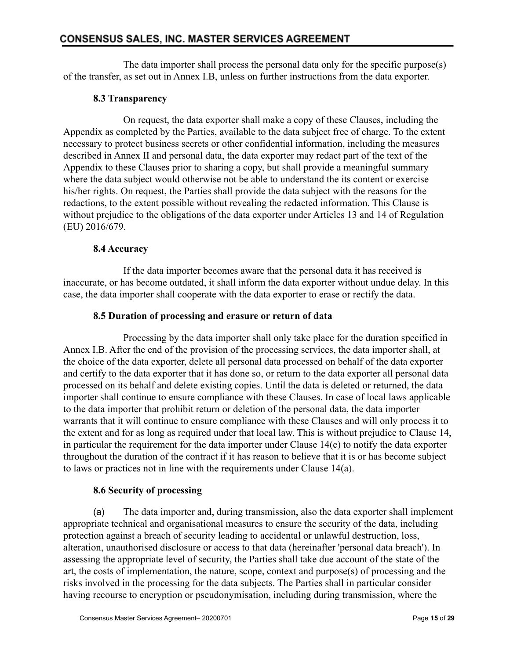The data importer shall process the personal data only for the specific purpose(s) of the transfer, as set out in Annex I.B, unless on further instructions from the data exporter.

# **8.3 Transparency**

On request, the data exporter shall make a copy of these Clauses, including the Appendix as completed by the Parties, available to the data subject free of charge. To the extent necessary to protect business secrets or other confidential information, including the measures described in Annex II and personal data, the data exporter may redact part of the text of the Appendix to these Clauses prior to sharing a copy, but shall provide a meaningful summary where the data subject would otherwise not be able to understand the its content or exercise his/her rights. On request, the Parties shall provide the data subject with the reasons for the redactions, to the extent possible without revealing the redacted information. This Clause is without prejudice to the obligations of the data exporter under Articles 13 and 14 of Regulation (EU) 2016/679.

# **8.4 Accuracy**

If the data importer becomes aware that the personal data it has received is inaccurate, or has become outdated, it shall inform the data exporter without undue delay. In this case, the data importer shall cooperate with the data exporter to erase or rectify the data.

# **8.5 Duration of processing and erasure or return of data**

Processing by the data importer shall only take place for the duration specified in Annex I.B. After the end of the provision of the processing services, the data importer shall, at the choice of the data exporter, delete all personal data processed on behalf of the data exporter and certify to the data exporter that it has done so, or return to the data exporter all personal data processed on its behalf and delete existing copies. Until the data is deleted or returned, the data importer shall continue to ensure compliance with these Clauses. In case of local laws applicable to the data importer that prohibit return or deletion of the personal data, the data importer warrants that it will continue to ensure compliance with these Clauses and will only process it to the extent and for as long as required under that local law. This is without prejudice to Clause 14, in particular the requirement for the data importer under Clause 14(e) to notify the data exporter throughout the duration of the contract if it has reason to believe that it is or has become subject to laws or practices not in line with the requirements under Clause 14(a).

# **8.6 Security of processing**

(a) The data importer and, during transmission, also the data exporter shall implement appropriate technical and organisational measures to ensure the security of the data, including protection against a breach of security leading to accidental or unlawful destruction, loss, alteration, unauthorised disclosure or access to that data (hereinafter 'personal data breach'). In assessing the appropriate level of security, the Parties shall take due account of the state of the art, the costs of implementation, the nature, scope, context and purpose(s) of processing and the risks involved in the processing for the data subjects. The Parties shall in particular consider having recourse to encryption or pseudonymisation, including during transmission, where the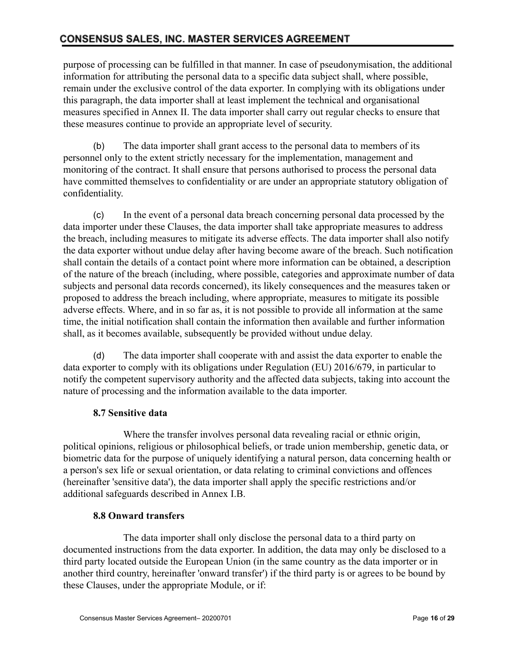purpose of processing can be fulfilled in that manner. In case of pseudonymisation, the additional information for attributing the personal data to a specific data subject shall, where possible, remain under the exclusive control of the data exporter. In complying with its obligations under this paragraph, the data importer shall at least implement the technical and organisational measures specified in Annex II. The data importer shall carry out regular checks to ensure that these measures continue to provide an appropriate level of security.

(b) The data importer shall grant access to the personal data to members of its personnel only to the extent strictly necessary for the implementation, management and monitoring of the contract. It shall ensure that persons authorised to process the personal data have committed themselves to confidentiality or are under an appropriate statutory obligation of confidentiality.

(c) In the event of a personal data breach concerning personal data processed by the data importer under these Clauses, the data importer shall take appropriate measures to address the breach, including measures to mitigate its adverse effects. The data importer shall also notify the data exporter without undue delay after having become aware of the breach. Such notification shall contain the details of a contact point where more information can be obtained, a description of the nature of the breach (including, where possible, categories and approximate number of data subjects and personal data records concerned), its likely consequences and the measures taken or proposed to address the breach including, where appropriate, measures to mitigate its possible adverse effects. Where, and in so far as, it is not possible to provide all information at the same time, the initial notification shall contain the information then available and further information shall, as it becomes available, subsequently be provided without undue delay.

(d) The data importer shall cooperate with and assist the data exporter to enable the data exporter to comply with its obligations under Regulation (EU) 2016/679, in particular to notify the competent supervisory authority and the affected data subjects, taking into account the nature of processing and the information available to the data importer.

# **8.7 Sensitive data**

Where the transfer involves personal data revealing racial or ethnic origin, political opinions, religious or philosophical beliefs, or trade union membership, genetic data, or biometric data for the purpose of uniquely identifying a natural person, data concerning health or a person's sex life or sexual orientation, or data relating to criminal convictions and offences (hereinafter 'sensitive data'), the data importer shall apply the specific restrictions and/or additional safeguards described in Annex I.B.

### **8.8 Onward transfers**

The data importer shall only disclose the personal data to a third party on documented instructions from the data exporter. In addition, the data may only be disclosed to a third party located outside the European Union (in the same country as the data importer or in another third country, hereinafter 'onward transfer') if the third party is or agrees to be bound by these Clauses, under the appropriate Module, or if: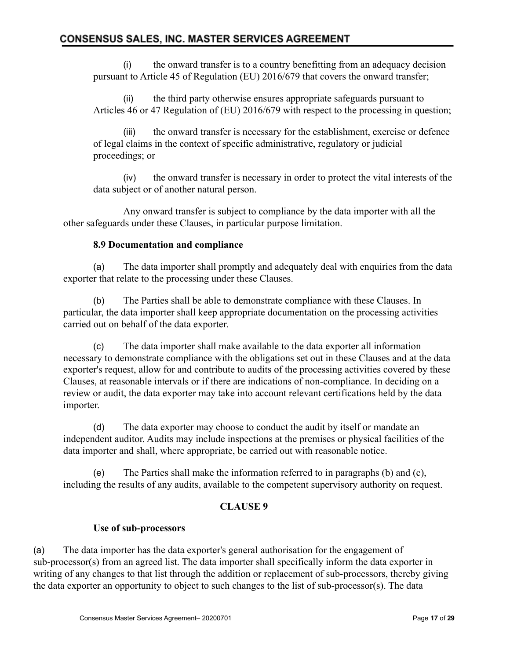(i) the onward transfer is to a country benefitting from an adequacy decision pursuant to Article 45 of Regulation (EU) 2016/679 that covers the onward transfer;

(ii) the third party otherwise ensures appropriate safeguards pursuant to Articles 46 or 47 Regulation of (EU) 2016/679 with respect to the processing in question;

(iii) the onward transfer is necessary for the establishment, exercise or defence of legal claims in the context of specific administrative, regulatory or judicial proceedings; or

(iv) the onward transfer is necessary in order to protect the vital interests of the data subject or of another natural person.

Any onward transfer is subject to compliance by the data importer with all the other safeguards under these Clauses, in particular purpose limitation.

# **8.9 Documentation and compliance**

(a) The data importer shall promptly and adequately deal with enquiries from the data exporter that relate to the processing under these Clauses.

(b) The Parties shall be able to demonstrate compliance with these Clauses. In particular, the data importer shall keep appropriate documentation on the processing activities carried out on behalf of the data exporter.

(c) The data importer shall make available to the data exporter all information necessary to demonstrate compliance with the obligations set out in these Clauses and at the data exporter's request, allow for and contribute to audits of the processing activities covered by these Clauses, at reasonable intervals or if there are indications of non-compliance. In deciding on a review or audit, the data exporter may take into account relevant certifications held by the data importer.

(d) The data exporter may choose to conduct the audit by itself or mandate an independent auditor. Audits may include inspections at the premises or physical facilities of the data importer and shall, where appropriate, be carried out with reasonable notice.

(e) The Parties shall make the information referred to in paragraphs (b) and (c), including the results of any audits, available to the competent supervisory authority on request.

# **CLAUSE 9**

# **Use of sub-processors**

(a) The data importer has the data exporter's general authorisation for the engagement of sub-processor(s) from an agreed list. The data importer shall specifically inform the data exporter in writing of any changes to that list through the addition or replacement of sub-processors, thereby giving the data exporter an opportunity to object to such changes to the list of sub-processor(s). The data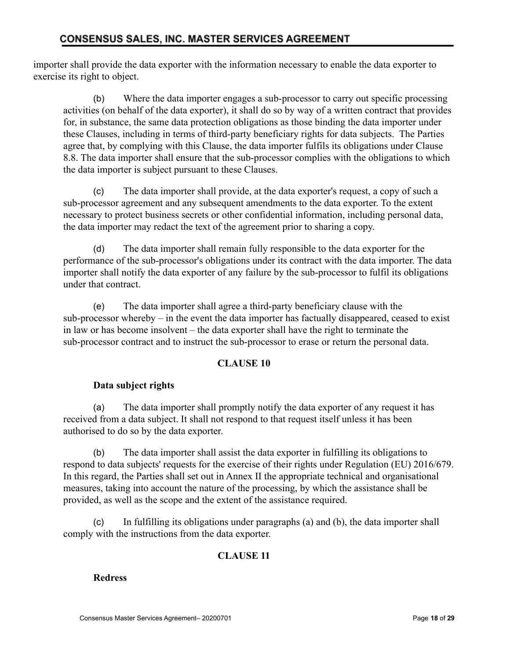importer shall provide the data exporter with the information necessary to enable the data exporter to exercise its right to object.

(b) Where the data importer engages a sub-processor to carry out specific processing activities (on behalf of the data exporter), it shall do so by way of a written contract that provides for, in substance, the same data protection obligations as those binding the data importer under these Clauses, including in terms of third-party beneficiary rights for data subjects. The Parties agree that, by complying with this Clause, the data importer fulfils its obligations under Clause 8.8. The data importer shall ensure that the sub-processor complies with the obligations to which the data importer is subject pursuant to these Clauses.

(c) The data importer shall provide, at the data exporter's request, a copy of such a sub-processor agreement and any subsequent amendments to the data exporter. To the extent necessary to protect business secrets or other confidential information, including personal data, the data importer may redact the text of the agreement prior to sharing a copy.

(d) The data importer shall remain fully responsible to the data exporter for the performance of the sub-processor's obligations under its contract with the data importer. The data importer shall notify the data exporter of any failure by the sub-processor to fulfil its obligations under that contract.

(e) The data importer shall agree a third-party beneficiary clause with the sub-processor whereby – in the event the data importer has factually disappeared, ceased to exist in law or has become insolvent – the data exporter shall have the right to terminate the sub-processor contract and to instruct the sub-processor to erase or return the personal data.

# **CLAUSE 10**

### **Data subject rights**

(a) The data importer shall promptly notify the data exporter of any request it has received from a data subject. It shall not respond to that request itself unless it has been authorised to do so by the data exporter.

(b) The data importer shall assist the data exporter in fulfilling its obligations to respond to data subjects' requests for the exercise of their rights under Regulation (EU) 2016/679. In this regard, the Parties shall set out in Annex II the appropriate technical and organisational measures, taking into account the nature of the processing, by which the assistance shall be provided, as well as the scope and the extent of the assistance required.

(c) In fulfilling its obligations under paragraphs (a) and (b), the data importer shall comply with the instructions from the data exporter.

# **CLAUSE 11**

# **Redress**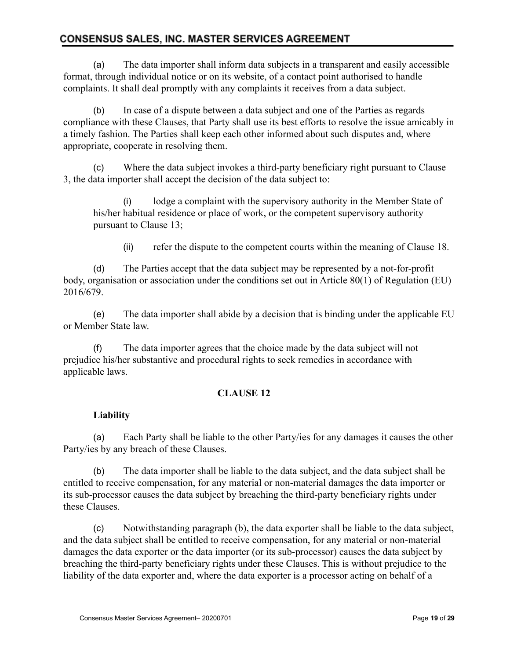(a) The data importer shall inform data subjects in a transparent and easily accessible format, through individual notice or on its website, of a contact point authorised to handle complaints. It shall deal promptly with any complaints it receives from a data subject.

(b) In case of a dispute between a data subject and one of the Parties as regards compliance with these Clauses, that Party shall use its best efforts to resolve the issue amicably in a timely fashion. The Parties shall keep each other informed about such disputes and, where appropriate, cooperate in resolving them.

(c) Where the data subject invokes a third-party beneficiary right pursuant to Clause 3, the data importer shall accept the decision of the data subject to:

(i) lodge a complaint with the supervisory authority in the Member State of his/her habitual residence or place of work, or the competent supervisory authority pursuant to Clause 13;

(ii) refer the dispute to the competent courts within the meaning of Clause 18.

(d) The Parties accept that the data subject may be represented by a not-for-profit body, organisation or association under the conditions set out in Article 80(1) of Regulation (EU) 2016/679.

(e) The data importer shall abide by a decision that is binding under the applicable EU or Member State law.

The data importer agrees that the choice made by the data subject will not prejudice his/her substantive and procedural rights to seek remedies in accordance with applicable laws.

# **CLAUSE 12**

# **Liability**

(a) Each Party shall be liable to the other Party/ies for any damages it causes the other Party/ies by any breach of these Clauses.

(b) The data importer shall be liable to the data subject, and the data subject shall be entitled to receive compensation, for any material or non-material damages the data importer or its sub-processor causes the data subject by breaching the third-party beneficiary rights under these Clauses.

(c) Notwithstanding paragraph (b), the data exporter shall be liable to the data subject, and the data subject shall be entitled to receive compensation, for any material or non-material damages the data exporter or the data importer (or its sub-processor) causes the data subject by breaching the third-party beneficiary rights under these Clauses. This is without prejudice to the liability of the data exporter and, where the data exporter is a processor acting on behalf of a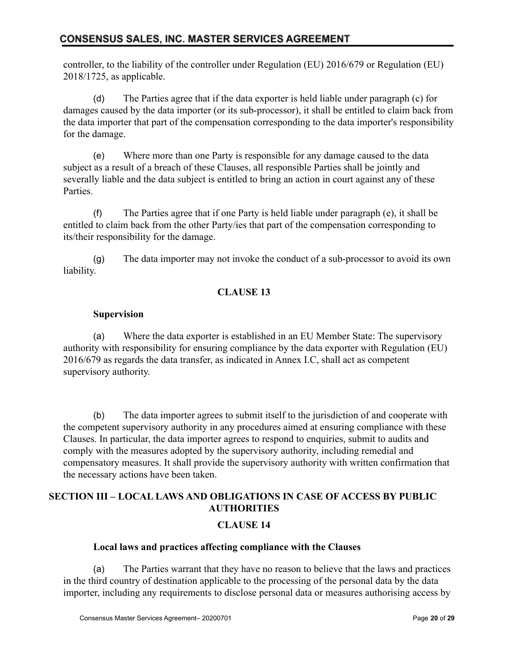controller, to the liability of the controller under Regulation (EU) 2016/679 or Regulation (EU) 2018/1725, as applicable.

(d) The Parties agree that if the data exporter is held liable under paragraph (c) for damages caused by the data importer (or its sub-processor), it shall be entitled to claim back from the data importer that part of the compensation corresponding to the data importer's responsibility for the damage.

(e) Where more than one Party is responsible for any damage caused to the data subject as a result of a breach of these Clauses, all responsible Parties shall be jointly and severally liable and the data subject is entitled to bring an action in court against any of these Parties.

(f) The Parties agree that if one Party is held liable under paragraph (e), it shall be entitled to claim back from the other Party/ies that part of the compensation corresponding to its/their responsibility for the damage.

(g) The data importer may not invoke the conduct of a sub-processor to avoid its own liability.

# **CLAUSE 13**

# **Supervision**

(a) Where the data exporter is established in an EU Member State: The supervisory authority with responsibility for ensuring compliance by the data exporter with Regulation (EU) 2016/679 as regards the data transfer, as indicated in Annex I.C, shall act as competent supervisory authority.

(b) The data importer agrees to submit itself to the jurisdiction of and cooperate with the competent supervisory authority in any procedures aimed at ensuring compliance with these Clauses. In particular, the data importer agrees to respond to enquiries, submit to audits and comply with the measures adopted by the supervisory authority, including remedial and compensatory measures. It shall provide the supervisory authority with written confirmation that the necessary actions have been taken.

# **SECTION III – LOCAL LAWS AND OBLIGATIONS IN CASE OF ACCESS BY PUBLIC AUTHORITIES**

# **CLAUSE 14**

### **Local laws and practices affecting compliance with the Clauses**

(a) The Parties warrant that they have no reason to believe that the laws and practices in the third country of destination applicable to the processing of the personal data by the data importer, including any requirements to disclose personal data or measures authorising access by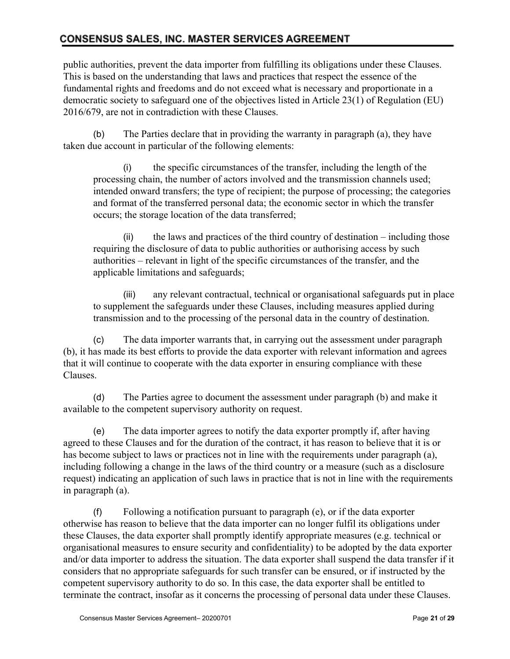public authorities, prevent the data importer from fulfilling its obligations under these Clauses. This is based on the understanding that laws and practices that respect the essence of the fundamental rights and freedoms and do not exceed what is necessary and proportionate in a democratic society to safeguard one of the objectives listed in Article 23(1) of Regulation (EU) 2016/679, are not in contradiction with these Clauses.

(b) The Parties declare that in providing the warranty in paragraph (a), they have taken due account in particular of the following elements:

(i) the specific circumstances of the transfer, including the length of the processing chain, the number of actors involved and the transmission channels used; intended onward transfers; the type of recipient; the purpose of processing; the categories and format of the transferred personal data; the economic sector in which the transfer occurs; the storage location of the data transferred;

(ii) the laws and practices of the third country of destination – including those requiring the disclosure of data to public authorities or authorising access by such authorities – relevant in light of the specific circumstances of the transfer, and the applicable limitations and safeguards;

(iii) any relevant contractual, technical or organisational safeguards put in place to supplement the safeguards under these Clauses, including measures applied during transmission and to the processing of the personal data in the country of destination.

(c) The data importer warrants that, in carrying out the assessment under paragraph (b), it has made its best efforts to provide the data exporter with relevant information and agrees that it will continue to cooperate with the data exporter in ensuring compliance with these Clauses.

(d) The Parties agree to document the assessment under paragraph (b) and make it available to the competent supervisory authority on request.

(e) The data importer agrees to notify the data exporter promptly if, after having agreed to these Clauses and for the duration of the contract, it has reason to believe that it is or has become subject to laws or practices not in line with the requirements under paragraph (a), including following a change in the laws of the third country or a measure (such as a disclosure request) indicating an application of such laws in practice that is not in line with the requirements in paragraph (a).

(f) Following a notification pursuant to paragraph (e), or if the data exporter otherwise has reason to believe that the data importer can no longer fulfil its obligations under these Clauses, the data exporter shall promptly identify appropriate measures (e.g. technical or organisational measures to ensure security and confidentiality) to be adopted by the data exporter and/or data importer to address the situation. The data exporter shall suspend the data transfer if it considers that no appropriate safeguards for such transfer can be ensured, or if instructed by the competent supervisory authority to do so. In this case, the data exporter shall be entitled to terminate the contract, insofar as it concerns the processing of personal data under these Clauses.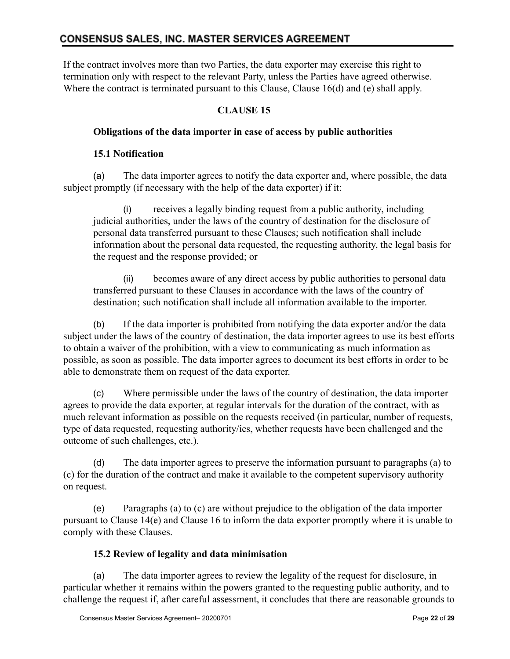If the contract involves more than two Parties, the data exporter may exercise this right to termination only with respect to the relevant Party, unless the Parties have agreed otherwise. Where the contract is terminated pursuant to this Clause, Clause 16(d) and (e) shall apply.

# **CLAUSE 15**

# **Obligations of the data importer in case of access by public authorities**

# **15.1 Notification**

(a) The data importer agrees to notify the data exporter and, where possible, the data subject promptly (if necessary with the help of the data exporter) if it:

(i) receives a legally binding request from a public authority, including judicial authorities, under the laws of the country of destination for the disclosure of personal data transferred pursuant to these Clauses; such notification shall include information about the personal data requested, the requesting authority, the legal basis for the request and the response provided; or

(ii) becomes aware of any direct access by public authorities to personal data transferred pursuant to these Clauses in accordance with the laws of the country of destination; such notification shall include all information available to the importer.

(b) If the data importer is prohibited from notifying the data exporter and/or the data subject under the laws of the country of destination, the data importer agrees to use its best efforts to obtain a waiver of the prohibition, with a view to communicating as much information as possible, as soon as possible. The data importer agrees to document its best efforts in order to be able to demonstrate them on request of the data exporter.

(c) Where permissible under the laws of the country of destination, the data importer agrees to provide the data exporter, at regular intervals for the duration of the contract, with as much relevant information as possible on the requests received (in particular, number of requests, type of data requested, requesting authority/ies, whether requests have been challenged and the outcome of such challenges, etc.).

(d) The data importer agrees to preserve the information pursuant to paragraphs (a) to (c) for the duration of the contract and make it available to the competent supervisory authority on request.

(e) Paragraphs (a) to (c) are without prejudice to the obligation of the data importer pursuant to Clause 14(e) and Clause 16 to inform the data exporter promptly where it is unable to comply with these Clauses.

# **15.2 Review of legality and data minimisation**

(a) The data importer agrees to review the legality of the request for disclosure, in particular whether it remains within the powers granted to the requesting public authority, and to challenge the request if, after careful assessment, it concludes that there are reasonable grounds to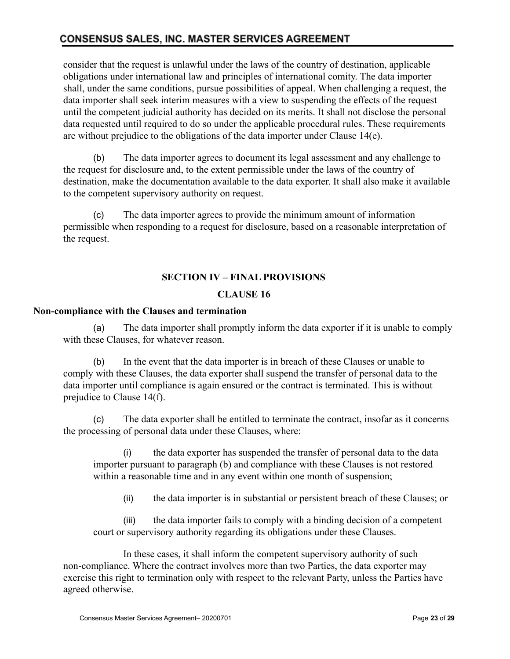consider that the request is unlawful under the laws of the country of destination, applicable obligations under international law and principles of international comity. The data importer shall, under the same conditions, pursue possibilities of appeal. When challenging a request, the data importer shall seek interim measures with a view to suspending the effects of the request until the competent judicial authority has decided on its merits. It shall not disclose the personal data requested until required to do so under the applicable procedural rules. These requirements are without prejudice to the obligations of the data importer under Clause 14(e).

(b) The data importer agrees to document its legal assessment and any challenge to the request for disclosure and, to the extent permissible under the laws of the country of destination, make the documentation available to the data exporter. It shall also make it available to the competent supervisory authority on request.

(c) The data importer agrees to provide the minimum amount of information permissible when responding to a request for disclosure, based on a reasonable interpretation of the request.

# **SECTION IV – FINAL PROVISIONS CLAUSE 16**

# **Non-compliance with the Clauses and termination**

(a) The data importer shall promptly inform the data exporter if it is unable to comply with these Clauses, for whatever reason.

(b) In the event that the data importer is in breach of these Clauses or unable to comply with these Clauses, the data exporter shall suspend the transfer of personal data to the data importer until compliance is again ensured or the contract is terminated. This is without prejudice to Clause 14(f).

(c) The data exporter shall be entitled to terminate the contract, insofar as it concerns the processing of personal data under these Clauses, where:

(i) the data exporter has suspended the transfer of personal data to the data importer pursuant to paragraph (b) and compliance with these Clauses is not restored within a reasonable time and in any event within one month of suspension;

(ii) the data importer is in substantial or persistent breach of these Clauses; or

(iii) the data importer fails to comply with a binding decision of a competent court or supervisory authority regarding its obligations under these Clauses.

In these cases, it shall inform the competent supervisory authority of such non-compliance. Where the contract involves more than two Parties, the data exporter may exercise this right to termination only with respect to the relevant Party, unless the Parties have agreed otherwise.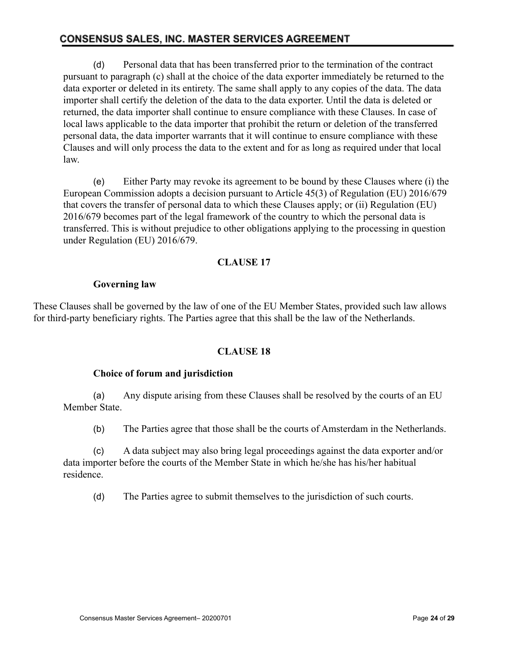(d) Personal data that has been transferred prior to the termination of the contract pursuant to paragraph (c) shall at the choice of the data exporter immediately be returned to the data exporter or deleted in its entirety. The same shall apply to any copies of the data. The data importer shall certify the deletion of the data to the data exporter. Until the data is deleted or returned, the data importer shall continue to ensure compliance with these Clauses. In case of local laws applicable to the data importer that prohibit the return or deletion of the transferred personal data, the data importer warrants that it will continue to ensure compliance with these Clauses and will only process the data to the extent and for as long as required under that local law.

(e) Either Party may revoke its agreement to be bound by these Clauses where (i) the European Commission adopts a decision pursuant to Article 45(3) of Regulation (EU) 2016/679 that covers the transfer of personal data to which these Clauses apply; or (ii) Regulation (EU) 2016/679 becomes part of the legal framework of the country to which the personal data is transferred. This is without prejudice to other obligations applying to the processing in question under Regulation (EU) 2016/679.

# **CLAUSE 17**

# **Governing law**

These Clauses shall be governed by the law of one of the EU Member States, provided such law allows for third-party beneficiary rights. The Parties agree that this shall be the law of the Netherlands.

# **CLAUSE 18**

# **Choice of forum and jurisdiction**

(a) Any dispute arising from these Clauses shall be resolved by the courts of an EU Member State.

(b) The Parties agree that those shall be the courts of Amsterdam in the Netherlands.

(c) A data subject may also bring legal proceedings against the data exporter and/or data importer before the courts of the Member State in which he/she has his/her habitual residence.

(d) The Parties agree to submit themselves to the jurisdiction of such courts.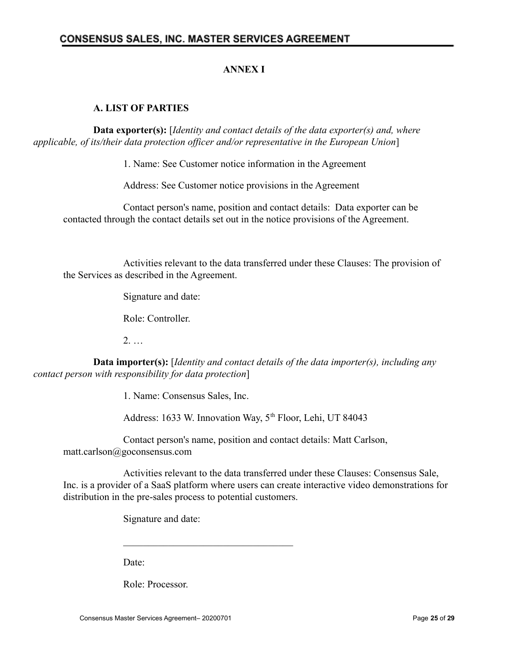# **ANNEX I**

### **A. LIST OF PARTIES**

**Data exporter(s):** [*Identity and contact details of the data exporter(s) and, where applicable, of its/their data protection officer and/or representative in the European Union*]

1. Name: See Customer notice information in the Agreement

Address: See Customer notice provisions in the Agreement

Contact person's name, position and contact details: Data exporter can be contacted through the contact details set out in the notice provisions of the Agreement.

Activities relevant to the data transferred under these Clauses: The provision of the Services as described in the Agreement.

Signature and date:

Role: Controller.

2. …

**Data importer(s):** [*Identity and contact details of the data importer(s), including any contact person with responsibility for data protection*]

1. Name: Consensus Sales, Inc.

Address: 1633 W. Innovation Way, 5<sup>th</sup> Floor, Lehi, UT 84043

Contact person's name, position and contact details: Matt Carlson, matt.carlson@goconsensus.com

\_\_\_\_\_\_\_\_\_\_\_\_\_\_\_\_\_\_\_\_\_\_\_\_\_\_\_\_\_\_\_\_\_\_

Activities relevant to the data transferred under these Clauses: Consensus Sale, Inc. is a provider of a SaaS platform where users can create interactive video demonstrations for distribution in the pre-sales process to potential customers.

Signature and date:

Date:

Role: Processor.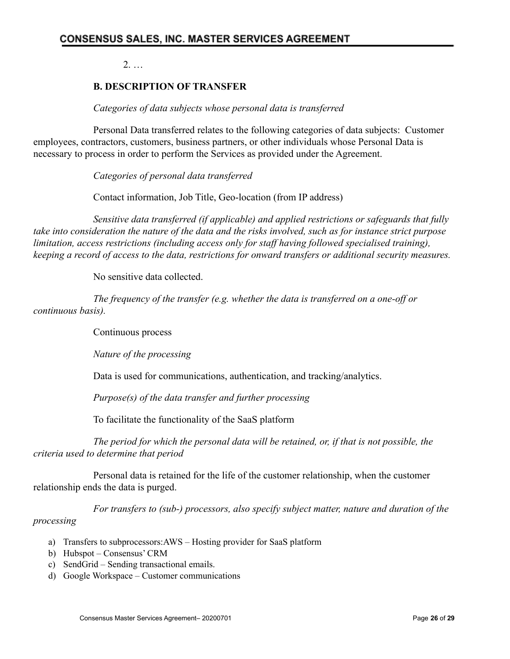2. …

# **B. DESCRIPTION OF TRANSFER**

*Categories of data subjects whose personal data is transferred*

Personal Data transferred relates to the following categories of data subjects: Customer employees, contractors, customers, business partners, or other individuals whose Personal Data is necessary to process in order to perform the Services as provided under the Agreement.

*Categories of personal data transferred*

Contact information, Job Title, Geo-location (from IP address)

*Sensitive data transferred (if applicable) and applied restrictions or safeguards that fully take into consideration the nature of the data and the risks involved, such as for instance strict purpose limitation, access restrictions (including access only for staff having followed specialised training), keeping a record of access to the data, restrictions for onward transfers or additional security measures.*

No sensitive data collected.

*The frequency of the transfer (e.g. whether the data is transferred on a one-off or continuous basis).*

Continuous process

*Nature of the processing*

Data is used for communications, authentication, and tracking/analytics.

*Purpose(s) of the data transfer and further processing*

To facilitate the functionality of the SaaS platform

*The period for which the personal data will be retained, or, if that is not possible, the criteria used to determine that period*

Personal data is retained for the life of the customer relationship, when the customer relationship ends the data is purged.

*For transfers to (sub-) processors, also specify subject matter, nature and duration of the processing*

- a) Transfers to subprocessors:AWS Hosting provider for SaaS platform
- b) Hubspot Consensus' CRM
- c) SendGrid Sending transactional emails.
- d) Google Workspace Customer communications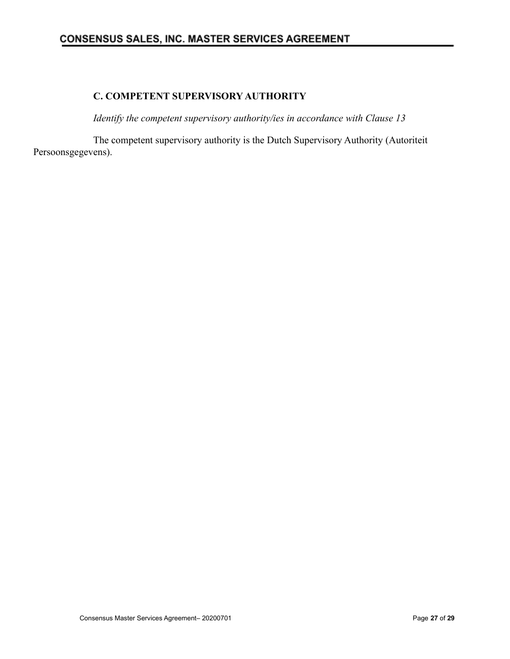# **C. COMPETENT SUPERVISORY AUTHORITY**

*Identify the competent supervisory authority/ies in accordance with Clause 13*

The competent supervisory authority is the Dutch Supervisory Authority (Autoriteit Persoonsgegevens).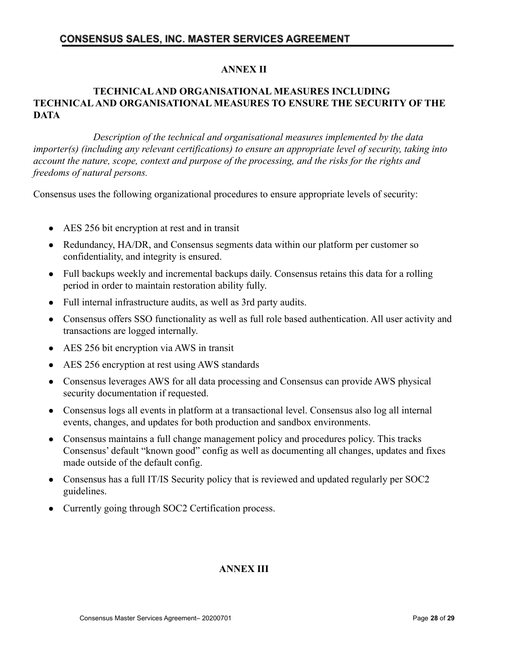# **ANNEX II**

# **TECHNICALAND ORGANISATIONAL MEASURES INCLUDING TECHNICALAND ORGANISATIONAL MEASURES TO ENSURE THE SECURITY OF THE DATA**

*Description of the technical and organisational measures implemented by the data importer(s) (including any relevant certifications) to ensure an appropriate level of security, taking into account the nature, scope, context and purpose of the processing, and the risks for the rights and freedoms of natural persons.*

Consensus uses the following organizational procedures to ensure appropriate levels of security:

- AES 256 bit encryption at rest and in transit
- Redundancy, HA/DR, and Consensus segments data within our platform per customer so confidentiality, and integrity is ensured.
- Full backups weekly and incremental backups daily. Consensus retains this data for a rolling period in order to maintain restoration ability fully.
- Full internal infrastructure audits, as well as 3rd party audits.
- Consensus offers SSO functionality as well as full role based authentication. All user activity and transactions are logged internally.
- AES 256 bit encryption via AWS in transit
- AES 256 encryption at rest using AWS standards
- Consensus leverages AWS for all data processing and Consensus can provide AWS physical security documentation if requested.
- Consensus logs all events in platform at a transactional level. Consensus also log all internal events, changes, and updates for both production and sandbox environments.
- Consensus maintains a full change management policy and procedures policy. This tracks Consensus' default "known good" config as well as documenting all changes, updates and fixes made outside of the default config.
- Consensus has a full IT/IS Security policy that is reviewed and updated regularly per SOC2 guidelines.
- Currently going through SOC2 Certification process.

### **ANNEX III**